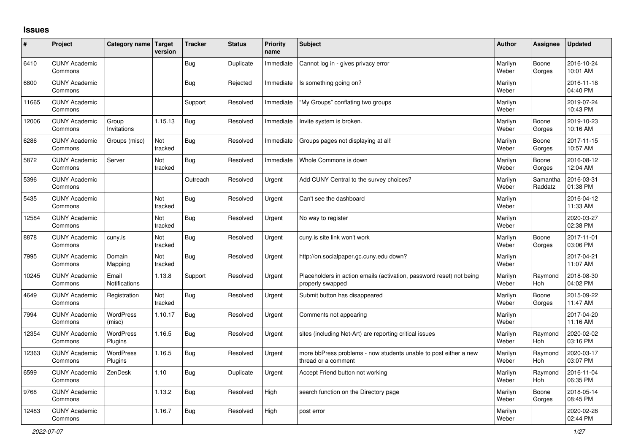## **Issues**

| #     | Project                         | Category name Target          | version        | <b>Tracker</b> | <b>Status</b> | <b>Priority</b><br>name | <b>Subject</b>                                                                           | <b>Author</b>    | Assignee              | <b>Updated</b>         |
|-------|---------------------------------|-------------------------------|----------------|----------------|---------------|-------------------------|------------------------------------------------------------------------------------------|------------------|-----------------------|------------------------|
| 6410  | <b>CUNY Academic</b><br>Commons |                               |                | <b>Bug</b>     | Duplicate     | Immediate               | Cannot log in - gives privacy error                                                      | Marilyn<br>Weber | Boone<br>Gorges       | 2016-10-24<br>10:01 AM |
| 6800  | <b>CUNY Academic</b><br>Commons |                               |                | <b>Bug</b>     | Rejected      | Immediate               | Is something going on?                                                                   | Marilyn<br>Weber |                       | 2016-11-18<br>04:40 PM |
| 11665 | <b>CUNY Academic</b><br>Commons |                               |                | Support        | Resolved      | Immediate               | "My Groups" conflating two groups                                                        | Marilyn<br>Weber |                       | 2019-07-24<br>10:43 PM |
| 12006 | <b>CUNY Academic</b><br>Commons | Group<br>Invitations          | 1.15.13        | <b>Bug</b>     | Resolved      | Immediate               | Invite system is broken.                                                                 | Marilyn<br>Weber | Boone<br>Gorges       | 2019-10-23<br>10:16 AM |
| 6286  | <b>CUNY Academic</b><br>Commons | Groups (misc)                 | Not<br>tracked | <b>Bug</b>     | Resolved      | Immediate               | Groups pages not displaying at all!                                                      | Marilyn<br>Weber | Boone<br>Gorges       | 2017-11-15<br>10:57 AM |
| 5872  | <b>CUNY Academic</b><br>Commons | Server                        | Not<br>tracked | <b>Bug</b>     | Resolved      | Immediate               | Whole Commons is down                                                                    | Marilyn<br>Weber | Boone<br>Gorges       | 2016-08-12<br>12:04 AM |
| 5396  | <b>CUNY Academic</b><br>Commons |                               |                | Outreach       | Resolved      | Urgent                  | Add CUNY Central to the survey choices?                                                  | Marilyn<br>Weber | Samantha<br>Raddatz   | 2016-03-31<br>01:38 PM |
| 5435  | <b>CUNY Academic</b><br>Commons |                               | Not<br>tracked | <b>Bug</b>     | Resolved      | Urgent                  | Can't see the dashboard                                                                  | Marilyn<br>Weber |                       | 2016-04-12<br>11:33 AM |
| 12584 | <b>CUNY Academic</b><br>Commons |                               | Not<br>tracked | <b>Bug</b>     | Resolved      | Urgent                  | No way to register                                                                       | Marilyn<br>Weber |                       | 2020-03-27<br>02:38 PM |
| 8878  | <b>CUNY Academic</b><br>Commons | cuny.is                       | Not<br>tracked | <b>Bug</b>     | Resolved      | Urgent                  | cuny.is site link won't work                                                             | Marilyn<br>Weber | Boone<br>Gorges       | 2017-11-01<br>03:06 PM |
| 7995  | <b>CUNY Academic</b><br>Commons | Domain<br>Mapping             | Not<br>tracked | <b>Bug</b>     | Resolved      | Urgent                  | http://on.socialpaper.gc.cuny.edu down?                                                  | Marilyn<br>Weber |                       | 2017-04-21<br>11:07 AM |
| 10245 | <b>CUNY Academic</b><br>Commons | Email<br><b>Notifications</b> | 1.13.8         | Support        | Resolved      | Urgent                  | Placeholders in action emails (activation, password reset) not being<br>properly swapped | Marilyn<br>Weber | Raymond<br><b>Hoh</b> | 2018-08-30<br>04:02 PM |
| 4649  | <b>CUNY Academic</b><br>Commons | Registration                  | Not<br>tracked | <b>Bug</b>     | Resolved      | Urgent                  | Submit button has disappeared                                                            | Marilyn<br>Weber | Boone<br>Gorges       | 2015-09-22<br>11:47 AM |
| 7994  | <b>CUNY Academic</b><br>Commons | WordPress<br>(misc)           | 1.10.17        | <b>Bug</b>     | Resolved      | Urgent                  | Comments not appearing                                                                   | Marilyn<br>Weber |                       | 2017-04-20<br>11:16 AM |
| 12354 | <b>CUNY Academic</b><br>Commons | WordPress<br>Plugins          | 1.16.5         | Bug            | Resolved      | Urgent                  | sites (including Net-Art) are reporting critical issues                                  | Marilyn<br>Weber | Raymond<br><b>Hoh</b> | 2020-02-02<br>03:16 PM |
| 12363 | <b>CUNY Academic</b><br>Commons | WordPress<br>Plugins          | 1.16.5         | Bug            | Resolved      | Urgent                  | more bbPress problems - now students unable to post either a new<br>thread or a comment  | Marilyn<br>Weber | Raymond<br><b>Hoh</b> | 2020-03-17<br>03:07 PM |
| 6599  | <b>CUNY Academic</b><br>Commons | ZenDesk                       | 1.10           | <b>Bug</b>     | Duplicate     | Urgent                  | Accept Friend button not working                                                         | Marilyn<br>Weber | Raymond<br>Hoh        | 2016-11-04<br>06:35 PM |
| 9768  | <b>CUNY Academic</b><br>Commons |                               | 1.13.2         | <b>Bug</b>     | Resolved      | High                    | search function on the Directory page                                                    | Marilyn<br>Weber | Boone<br>Gorges       | 2018-05-14<br>08:45 PM |
| 12483 | <b>CUNY Academic</b><br>Commons |                               | 1.16.7         | <b>Bug</b>     | Resolved      | High                    | post error                                                                               | Marilyn<br>Weber |                       | 2020-02-28<br>02:44 PM |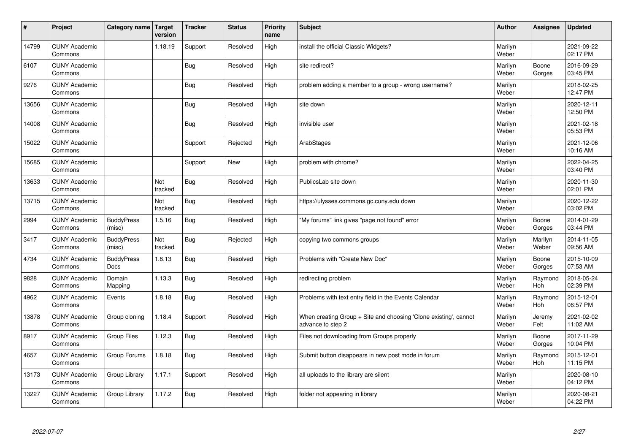| $\sharp$ | Project                         | Category name   Target           | version        | <b>Tracker</b> | <b>Status</b> | <b>Priority</b><br>name | <b>Subject</b>                                                                        | <b>Author</b>    | Assignee         | <b>Updated</b>         |
|----------|---------------------------------|----------------------------------|----------------|----------------|---------------|-------------------------|---------------------------------------------------------------------------------------|------------------|------------------|------------------------|
| 14799    | <b>CUNY Academic</b><br>Commons |                                  | 1.18.19        | Support        | Resolved      | High                    | install the official Classic Widgets?                                                 | Marilyn<br>Weber |                  | 2021-09-22<br>02:17 PM |
| 6107     | <b>CUNY Academic</b><br>Commons |                                  |                | Bug            | Resolved      | High                    | site redirect?                                                                        | Marilyn<br>Weber | Boone<br>Gorges  | 2016-09-29<br>03:45 PM |
| 9276     | <b>CUNY Academic</b><br>Commons |                                  |                | Bug            | Resolved      | High                    | problem adding a member to a group - wrong username?                                  | Marilyn<br>Weber |                  | 2018-02-25<br>12:47 PM |
| 13656    | <b>CUNY Academic</b><br>Commons |                                  |                | <b>Bug</b>     | Resolved      | High                    | site down                                                                             | Marilyn<br>Weber |                  | 2020-12-11<br>12:50 PM |
| 14008    | <b>CUNY Academic</b><br>Commons |                                  |                | Bug            | Resolved      | High                    | invisible user                                                                        | Marilyn<br>Weber |                  | 2021-02-18<br>05:53 PM |
| 15022    | <b>CUNY Academic</b><br>Commons |                                  |                | Support        | Rejected      | High                    | ArabStages                                                                            | Marilyn<br>Weber |                  | 2021-12-06<br>10:16 AM |
| 15685    | <b>CUNY Academic</b><br>Commons |                                  |                | Support        | <b>New</b>    | High                    | problem with chrome?                                                                  | Marilyn<br>Weber |                  | 2022-04-25<br>03:40 PM |
| 13633    | <b>CUNY Academic</b><br>Commons |                                  | Not<br>tracked | <b>Bug</b>     | Resolved      | High                    | PublicsLab site down                                                                  | Marilyn<br>Weber |                  | 2020-11-30<br>02:01 PM |
| 13715    | <b>CUNY Academic</b><br>Commons |                                  | Not<br>tracked | Bug            | Resolved      | High                    | https://ulysses.commons.gc.cuny.edu down                                              | Marilyn<br>Weber |                  | 2020-12-22<br>03:02 PM |
| 2994     | <b>CUNY Academic</b><br>Commons | <b>BuddyPress</b><br>(misc)      | 1.5.16         | Bug            | Resolved      | High                    | 'My forums" link gives "page not found" error                                         | Marilyn<br>Weber | Boone<br>Gorges  | 2014-01-29<br>03:44 PM |
| 3417     | <b>CUNY Academic</b><br>Commons | <b>BuddyPress</b><br>(misc)      | Not<br>tracked | Bug            | Rejected      | High                    | copying two commons groups                                                            | Marilyn<br>Weber | Marilyn<br>Weber | 2014-11-05<br>09:56 AM |
| 4734     | <b>CUNY Academic</b><br>Commons | <b>BuddyPress</b><br><b>Docs</b> | 1.8.13         | <b>Bug</b>     | Resolved      | High                    | Problems with "Create New Doc"                                                        | Marilyn<br>Weber | Boone<br>Gorges  | 2015-10-09<br>07:53 AM |
| 9828     | <b>CUNY Academic</b><br>Commons | Domain<br>Mapping                | 1.13.3         | Bug            | Resolved      | High                    | redirecting problem                                                                   | Marilyn<br>Weber | Raymond<br>Hoh   | 2018-05-24<br>02:39 PM |
| 4962     | <b>CUNY Academic</b><br>Commons | Events                           | 1.8.18         | Bug            | Resolved      | High                    | Problems with text entry field in the Events Calendar                                 | Marilyn<br>Weber | Raymond<br>Hoh   | 2015-12-01<br>06:57 PM |
| 13878    | <b>CUNY Academic</b><br>Commons | Group cloning                    | 1.18.4         | Support        | Resolved      | High                    | When creating Group + Site and choosing 'Clone existing', cannot<br>advance to step 2 | Marilyn<br>Weber | Jeremy<br>Felt   | 2021-02-02<br>11:02 AM |
| 8917     | <b>CUNY Academic</b><br>Commons | <b>Group Files</b>               | 1.12.3         | Bug            | Resolved      | High                    | Files not downloading from Groups properly                                            | Marilyn<br>Weber | Boone<br>Gorges  | 2017-11-29<br>10:04 PM |
| 4657     | <b>CUNY Academic</b><br>Commons | Group Forums                     | 1.8.18         | Bug            | Resolved      | High                    | Submit button disappears in new post mode in forum                                    | Marilyn<br>Weber | Raymond<br>Hoh   | 2015-12-01<br>11:15 PM |
| 13173    | <b>CUNY Academic</b><br>Commons | Group Library                    | 1.17.1         | Support        | Resolved      | High                    | all uploads to the library are silent                                                 | Marilyn<br>Weber |                  | 2020-08-10<br>04:12 PM |
| 13227    | <b>CUNY Academic</b><br>Commons | Group Library                    | 1.17.2         | Bug            | Resolved      | High                    | folder not appearing in library                                                       | Marilyn<br>Weber |                  | 2020-08-21<br>04:22 PM |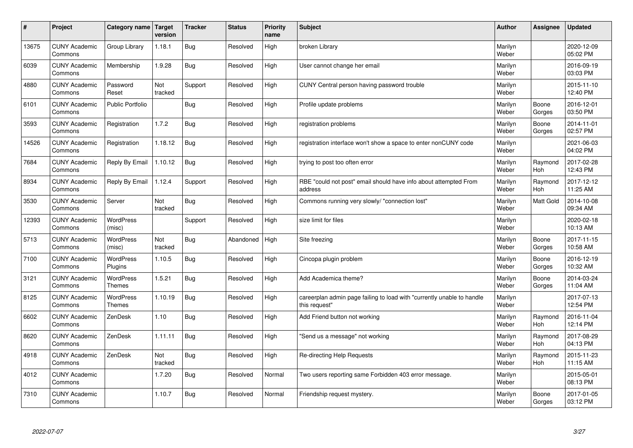| #     | Project                         | Category name                     | Target<br>version | <b>Tracker</b> | <b>Status</b> | <b>Priority</b><br>name | <b>Subject</b>                                                                          | <b>Author</b>    | Assignee              | <b>Updated</b>         |
|-------|---------------------------------|-----------------------------------|-------------------|----------------|---------------|-------------------------|-----------------------------------------------------------------------------------------|------------------|-----------------------|------------------------|
| 13675 | <b>CUNY Academic</b><br>Commons | Group Library                     | 1.18.1            | <b>Bug</b>     | Resolved      | High                    | broken Librarv                                                                          | Marilyn<br>Weber |                       | 2020-12-09<br>05:02 PM |
| 6039  | <b>CUNY Academic</b><br>Commons | Membership                        | 1.9.28            | Bug            | Resolved      | High                    | User cannot change her email                                                            | Marilyn<br>Weber |                       | 2016-09-19<br>03:03 PM |
| 4880  | <b>CUNY Academic</b><br>Commons | Password<br>Reset                 | Not<br>tracked    | Support        | Resolved      | High                    | CUNY Central person having password trouble                                             | Marilyn<br>Weber |                       | 2015-11-10<br>12:40 PM |
| 6101  | <b>CUNY Academic</b><br>Commons | <b>Public Portfolio</b>           |                   | Bug            | Resolved      | High                    | Profile update problems                                                                 | Marilyn<br>Weber | Boone<br>Gorges       | 2016-12-01<br>03:50 PM |
| 3593  | <b>CUNY Academic</b><br>Commons | Registration                      | 1.7.2             | Bug            | Resolved      | High                    | registration problems                                                                   | Marilyn<br>Weber | Boone<br>Gorges       | 2014-11-01<br>02:57 PM |
| 14526 | <b>CUNY Academic</b><br>Commons | Registration                      | 1.18.12           | Bug            | Resolved      | High                    | registration interface won't show a space to enter nonCUNY code                         | Marilyn<br>Weber |                       | 2021-06-03<br>04:02 PM |
| 7684  | <b>CUNY Academic</b><br>Commons | Reply By Email                    | 1.10.12           | <b>Bug</b>     | Resolved      | High                    | trying to post too often error                                                          | Marilyn<br>Weber | Raymond<br>Hoh        | 2017-02-28<br>12:43 PM |
| 8934  | <b>CUNY Academic</b><br>Commons | Reply By Email                    | 1.12.4            | Support        | Resolved      | High                    | RBE "could not post" email should have info about attempted From<br>address             | Marilyn<br>Weber | Raymond<br><b>Hoh</b> | 2017-12-12<br>11:25 AM |
| 3530  | <b>CUNY Academic</b><br>Commons | Server                            | Not<br>tracked    | <b>Bug</b>     | Resolved      | High                    | Commons running very slowly/ "connection lost"                                          | Marilyn<br>Weber | <b>Matt Gold</b>      | 2014-10-08<br>09:34 AM |
| 12393 | <b>CUNY Academic</b><br>Commons | <b>WordPress</b><br>(misc)        |                   | Support        | Resolved      | High                    | size limit for files                                                                    | Marilyn<br>Weber |                       | 2020-02-18<br>10:13 AM |
| 5713  | <b>CUNY Academic</b><br>Commons | <b>WordPress</b><br>(misc)        | Not<br>tracked    | <b>Bug</b>     | Abandoned     | High                    | Site freezing                                                                           | Marilyn<br>Weber | Boone<br>Gorges       | 2017-11-15<br>10:58 AM |
| 7100  | <b>CUNY Academic</b><br>Commons | <b>WordPress</b><br>Plugins       | 1.10.5            | <b>Bug</b>     | Resolved      | High                    | Cincopa plugin problem                                                                  | Marilyn<br>Weber | Boone<br>Gorges       | 2016-12-19<br>10:32 AM |
| 3121  | <b>CUNY Academic</b><br>Commons | <b>WordPress</b><br><b>Themes</b> | 1.5.21            | <b>Bug</b>     | Resolved      | High                    | Add Academica theme?                                                                    | Marilyn<br>Weber | Boone<br>Gorges       | 2014-03-24<br>11:04 AM |
| 8125  | <b>CUNY Academic</b><br>Commons | WordPress<br><b>Themes</b>        | 1.10.19           | <b>Bug</b>     | Resolved      | High                    | careerplan admin page failing to load with "currently unable to handle<br>this request" | Marilyn<br>Weber |                       | 2017-07-13<br>12:54 PM |
| 6602  | <b>CUNY Academic</b><br>Commons | ZenDesk                           | 1.10              | Bug            | Resolved      | High                    | Add Friend button not working                                                           | Marilyn<br>Weber | Raymond<br>Hoh        | 2016-11-04<br>12:14 PM |
| 8620  | <b>CUNY Academic</b><br>Commons | ZenDesk                           | 1.11.11           | Bug            | Resolved      | High                    | 'Send us a message" not working                                                         | Marilyn<br>Weber | Raymond<br>Hoh        | 2017-08-29<br>04:13 PM |
| 4918  | <b>CUNY Academic</b><br>Commons | ZenDesk                           | Not<br>tracked    | Bug            | Resolved      | High                    | Re-directing Help Requests                                                              | Marilyn<br>Weber | Raymond<br>Hoh        | 2015-11-23<br>11:15 AM |
| 4012  | <b>CUNY Academic</b><br>Commons |                                   | 1.7.20            | Bug            | Resolved      | Normal                  | Two users reporting same Forbidden 403 error message.                                   | Marilyn<br>Weber |                       | 2015-05-01<br>08:13 PM |
| 7310  | <b>CUNY Academic</b><br>Commons |                                   | 1.10.7            | Bug            | Resolved      | Normal                  | Friendship request mystery.                                                             | Marilyn<br>Weber | Boone<br>Gorges       | 2017-01-05<br>03:12 PM |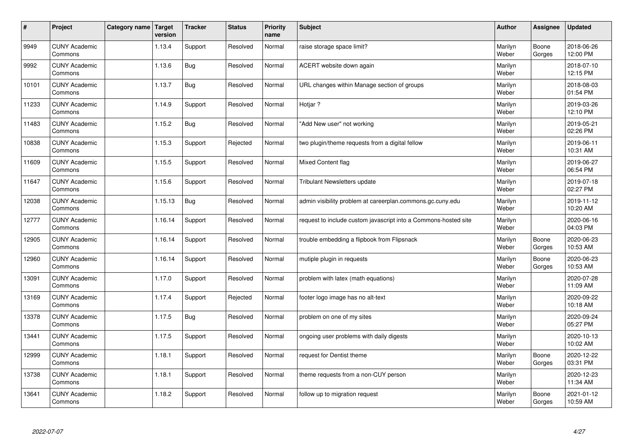| $\vert$ # | Project                         | Category name | Target<br>version | <b>Tracker</b> | <b>Status</b> | <b>Priority</b><br>name | <b>Subject</b>                                                  | <b>Author</b>    | Assignee        | <b>Updated</b>         |
|-----------|---------------------------------|---------------|-------------------|----------------|---------------|-------------------------|-----------------------------------------------------------------|------------------|-----------------|------------------------|
| 9949      | <b>CUNY Academic</b><br>Commons |               | 1.13.4            | Support        | Resolved      | Normal                  | raise storage space limit?                                      | Marilyn<br>Weber | Boone<br>Gorges | 2018-06-26<br>12:00 PM |
| 9992      | <b>CUNY Academic</b><br>Commons |               | 1.13.6            | Bug            | Resolved      | Normal                  | ACERT website down again                                        | Marilyn<br>Weber |                 | 2018-07-10<br>12:15 PM |
| 10101     | <b>CUNY Academic</b><br>Commons |               | 1.13.7            | <b>Bug</b>     | Resolved      | Normal                  | URL changes within Manage section of groups                     | Marilyn<br>Weber |                 | 2018-08-03<br>01:54 PM |
| 11233     | <b>CUNY Academic</b><br>Commons |               | 1.14.9            | Support        | Resolved      | Normal                  | Hotjar?                                                         | Marilyn<br>Weber |                 | 2019-03-26<br>12:10 PM |
| 11483     | <b>CUNY Academic</b><br>Commons |               | 1.15.2            | <b>Bug</b>     | Resolved      | Normal                  | "Add New user" not working                                      | Marilyn<br>Weber |                 | 2019-05-21<br>02:26 PM |
| 10838     | <b>CUNY Academic</b><br>Commons |               | 1.15.3            | Support        | Rejected      | Normal                  | two plugin/theme requests from a digital fellow                 | Marilyn<br>Weber |                 | 2019-06-11<br>10:31 AM |
| 11609     | <b>CUNY Academic</b><br>Commons |               | 1.15.5            | Support        | Resolved      | Normal                  | Mixed Content flag                                              | Marilyn<br>Weber |                 | 2019-06-27<br>06:54 PM |
| 11647     | <b>CUNY Academic</b><br>Commons |               | 1.15.6            | Support        | Resolved      | Normal                  | <b>Tribulant Newsletters update</b>                             | Marilyn<br>Weber |                 | 2019-07-18<br>02:27 PM |
| 12038     | <b>CUNY Academic</b><br>Commons |               | 1.15.13           | <b>Bug</b>     | Resolved      | Normal                  | admin visibility problem at careerplan.commons.gc.cuny.edu      | Marilyn<br>Weber |                 | 2019-11-12<br>10:20 AM |
| 12777     | <b>CUNY Academic</b><br>Commons |               | 1.16.14           | Support        | Resolved      | Normal                  | request to include custom javascript into a Commons-hosted site | Marilyn<br>Weber |                 | 2020-06-16<br>04:03 PM |
| 12905     | <b>CUNY Academic</b><br>Commons |               | 1.16.14           | Support        | Resolved      | Normal                  | trouble embedding a flipbook from Flipsnack                     | Marilyn<br>Weber | Boone<br>Gorges | 2020-06-23<br>10:53 AM |
| 12960     | <b>CUNY Academic</b><br>Commons |               | 1.16.14           | Support        | Resolved      | Normal                  | mutiple plugin in requests                                      | Marilyn<br>Weber | Boone<br>Gorges | 2020-06-23<br>10:53 AM |
| 13091     | <b>CUNY Academic</b><br>Commons |               | 1.17.0            | Support        | Resolved      | Normal                  | problem with latex (math equations)                             | Marilyn<br>Weber |                 | 2020-07-28<br>11:09 AM |
| 13169     | <b>CUNY Academic</b><br>Commons |               | 1.17.4            | Support        | Rejected      | Normal                  | footer logo image has no alt-text                               | Marilyn<br>Weber |                 | 2020-09-22<br>10:18 AM |
| 13378     | <b>CUNY Academic</b><br>Commons |               | 1.17.5            | <b>Bug</b>     | Resolved      | Normal                  | problem on one of my sites                                      | Marilyn<br>Weber |                 | 2020-09-24<br>05:27 PM |
| 13441     | <b>CUNY Academic</b><br>Commons |               | 1.17.5            | Support        | Resolved      | Normal                  | ongoing user problems with daily digests                        | Marilyn<br>Weber |                 | 2020-10-13<br>10:02 AM |
| 12999     | <b>CUNY Academic</b><br>Commons |               | 1.18.1            | Support        | Resolved      | Normal                  | request for Dentist theme                                       | Marilyn<br>Weber | Boone<br>Gorges | 2020-12-22<br>03:31 PM |
| 13738     | <b>CUNY Academic</b><br>Commons |               | 1.18.1            | Support        | Resolved      | Normal                  | theme requests from a non-CUY person                            | Marilyn<br>Weber |                 | 2020-12-23<br>11:34 AM |
| 13641     | <b>CUNY Academic</b><br>Commons |               | 1.18.2            | Support        | Resolved      | Normal                  | follow up to migration request                                  | Marilyn<br>Weber | Boone<br>Gorges | 2021-01-12<br>10:59 AM |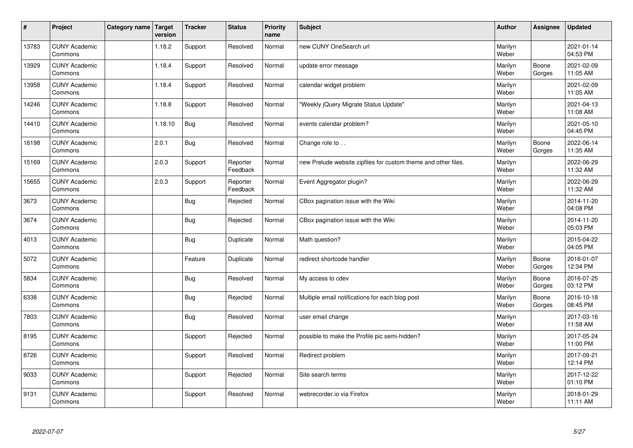| $\sharp$ | Project                         | Category name   Target | version | <b>Tracker</b> | <b>Status</b>        | <b>Priority</b><br>name | <b>Subject</b>                                                 | <b>Author</b>    | Assignee        | <b>Updated</b>         |
|----------|---------------------------------|------------------------|---------|----------------|----------------------|-------------------------|----------------------------------------------------------------|------------------|-----------------|------------------------|
| 13783    | <b>CUNY Academic</b><br>Commons |                        | 1.18.2  | Support        | Resolved             | Normal                  | new CUNY OneSearch url                                         | Marilyn<br>Weber |                 | 2021-01-14<br>04:53 PM |
| 13929    | <b>CUNY Academic</b><br>Commons |                        | 1.18.4  | Support        | Resolved             | Normal                  | update error message                                           | Marilyn<br>Weber | Boone<br>Gorges | 2021-02-09<br>11:05 AM |
| 13958    | <b>CUNY Academic</b><br>Commons |                        | 1.18.4  | Support        | Resolved             | Normal                  | calendar widget problem                                        | Marilyn<br>Weber |                 | 2021-02-09<br>11:05 AM |
| 14246    | <b>CUNY Academic</b><br>Commons |                        | 1.18.8  | Support        | Resolved             | Normal                  | 'Weekly jQuery Migrate Status Update"                          | Marilyn<br>Weber |                 | 2021-04-13<br>11:08 AM |
| 14410    | <b>CUNY Academic</b><br>Commons |                        | 1.18.10 | <b>Bug</b>     | Resolved             | Normal                  | events calendar problem?                                       | Marilyn<br>Weber |                 | 2021-05-10<br>04:45 PM |
| 16198    | <b>CUNY Academic</b><br>Commons |                        | 2.0.1   | <b>Bug</b>     | Resolved             | Normal                  | Change role to                                                 | Marilyn<br>Weber | Boone<br>Gorges | 2022-06-14<br>11:35 AM |
| 15169    | <b>CUNY Academic</b><br>Commons |                        | 2.0.3   | Support        | Reporter<br>Feedback | Normal                  | new Prelude website zipfiles for custom theme and other files. | Marilyn<br>Weber |                 | 2022-06-29<br>11:32 AM |
| 15655    | <b>CUNY Academic</b><br>Commons |                        | 2.0.3   | Support        | Reporter<br>Feedback | Normal                  | Event Aggregator plugin?                                       | Marilyn<br>Weber |                 | 2022-06-29<br>11:32 AM |
| 3673     | <b>CUNY Academic</b><br>Commons |                        |         | <b>Bug</b>     | Rejected             | Normal                  | CBox pagination issue with the Wiki                            | Marilyn<br>Weber |                 | 2014-11-20<br>04:08 PM |
| 3674     | <b>CUNY Academic</b><br>Commons |                        |         | Bug            | Rejected             | Normal                  | CBox pagination issue with the Wiki                            | Marilyn<br>Weber |                 | 2014-11-20<br>05:03 PM |
| 4013     | <b>CUNY Academic</b><br>Commons |                        |         | <b>Bug</b>     | Duplicate            | Normal                  | Math question?                                                 | Marilyn<br>Weber |                 | 2015-04-22<br>04:05 PM |
| 5072     | <b>CUNY Academic</b><br>Commons |                        |         | Feature        | Duplicate            | Normal                  | redirect shortcode handler                                     | Marilyn<br>Weber | Boone<br>Gorges | 2016-01-07<br>12:34 PM |
| 5834     | <b>CUNY Academic</b><br>Commons |                        |         | Bug            | Resolved             | Normal                  | My access to cdev                                              | Marilyn<br>Weber | Boone<br>Gorges | 2016-07-25<br>03:12 PM |
| 6338     | <b>CUNY Academic</b><br>Commons |                        |         | <b>Bug</b>     | Rejected             | Normal                  | Multiple email notifications for each blog post                | Marilyn<br>Weber | Boone<br>Gorges | 2016-10-18<br>08:45 PM |
| 7803     | <b>CUNY Academic</b><br>Commons |                        |         | <b>Bug</b>     | Resolved             | Normal                  | user email change                                              | Marilyn<br>Weber |                 | 2017-03-16<br>11:58 AM |
| 8195     | <b>CUNY Academic</b><br>Commons |                        |         | Support        | Rejected             | Normal                  | possible to make the Profile pic semi-hidden?                  | Marilyn<br>Weber |                 | 2017-05-24<br>11:00 PM |
| 8726     | <b>CUNY Academic</b><br>Commons |                        |         | Support        | Resolved             | Normal                  | Redirect problem                                               | Marilyn<br>Weber |                 | 2017-09-21<br>12:14 PM |
| 9033     | <b>CUNY Academic</b><br>Commons |                        |         | Support        | Rejected             | Normal                  | Site search terms                                              | Marilyn<br>Weber |                 | 2017-12-22<br>01:10 PM |
| 9131     | <b>CUNY Academic</b><br>Commons |                        |         | Support        | Resolved             | Normal                  | webrecorder.io via Firefox                                     | Marilyn<br>Weber |                 | 2018-01-29<br>11:11 AM |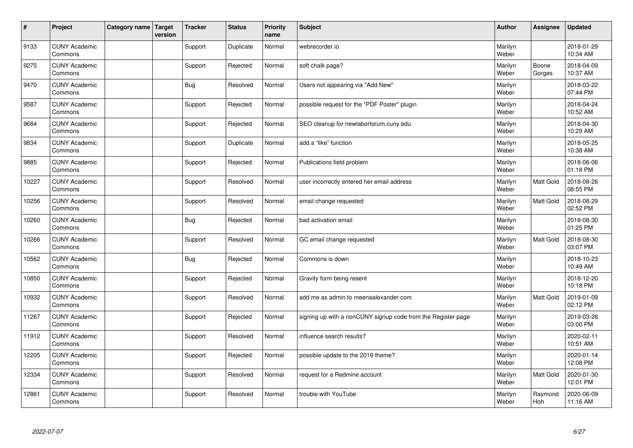| #     | Project                         | Category name   Target | version | <b>Tracker</b> | <b>Status</b> | <b>Priority</b><br>name | <b>Subject</b>                                               | <b>Author</b>    | <b>Assignee</b> | <b>Updated</b>         |
|-------|---------------------------------|------------------------|---------|----------------|---------------|-------------------------|--------------------------------------------------------------|------------------|-----------------|------------------------|
| 9133  | <b>CUNY Academic</b><br>Commons |                        |         | Support        | Duplicate     | Normal                  | webrecorder.io                                               | Marilyn<br>Weber |                 | 2018-01-29<br>10:34 AM |
| 9275  | <b>CUNY Academic</b><br>Commons |                        |         | Support        | Rejected      | Normal                  | soft chalk page?                                             | Marilyn<br>Weber | Boone<br>Gorges | 2018-04-09<br>10:37 AM |
| 9470  | <b>CUNY Academic</b><br>Commons |                        |         | <b>Bug</b>     | Resolved      | Normal                  | Users not appearing via "Add New"                            | Marilyn<br>Weber |                 | 2018-03-22<br>07:44 PM |
| 9587  | <b>CUNY Academic</b><br>Commons |                        |         | Support        | Rejected      | Normal                  | possible request for the "PDF Poster" plugin                 | Marilyn<br>Weber |                 | 2018-04-24<br>10:52 AM |
| 9684  | <b>CUNY Academic</b><br>Commons |                        |         | Support        | Rejected      | Normal                  | SEO cleanup for newlaborforum.cuny.edu                       | Marilyn<br>Weber |                 | 2018-04-30<br>10:29 AM |
| 9834  | <b>CUNY Academic</b><br>Commons |                        |         | Support        | Duplicate     | Normal                  | add a "like" function                                        | Marilyn<br>Weber |                 | 2018-05-25<br>10:38 AM |
| 9885  | <b>CUNY Academic</b><br>Commons |                        |         | Support        | Rejected      | Normal                  | Publications field problem                                   | Marilyn<br>Weber |                 | 2018-06-06<br>01:18 PM |
| 10227 | <b>CUNY Academic</b><br>Commons |                        |         | Support        | Resolved      | Normal                  | user incorrectly entered her email address                   | Marilyn<br>Weber | Matt Gold       | 2018-08-26<br>08:55 PM |
| 10256 | <b>CUNY Academic</b><br>Commons |                        |         | Support        | Resolved      | Normal                  | email change requested                                       | Marilyn<br>Weber | Matt Gold       | 2018-08-29<br>02:52 PM |
| 10260 | <b>CUNY Academic</b><br>Commons |                        |         | <b>Bug</b>     | Rejected      | Normal                  | bad activation email                                         | Marilyn<br>Weber |                 | 2018-08-30<br>01:25 PM |
| 10266 | <b>CUNY Academic</b><br>Commons |                        |         | Support        | Resolved      | Normal                  | GC email change requested                                    | Marilyn<br>Weber | Matt Gold       | 2018-08-30<br>03:07 PM |
| 10562 | <b>CUNY Academic</b><br>Commons |                        |         | Bug            | Rejected      | Normal                  | Commons is down                                              | Marilyn<br>Weber |                 | 2018-10-23<br>10:49 AM |
| 10850 | <b>CUNY Academic</b><br>Commons |                        |         | Support        | Rejected      | Normal                  | Gravity form being resent                                    | Marilyn<br>Weber |                 | 2018-12-20<br>10:18 PM |
| 10932 | <b>CUNY Academic</b><br>Commons |                        |         | Support        | Resolved      | Normal                  | add me as admin to meenaalexander.com                        | Marilyn<br>Weber | Matt Gold       | 2019-01-09<br>02:12 PM |
| 11267 | <b>CUNY Academic</b><br>Commons |                        |         | Support        | Rejected      | Normal                  | signing up with a nonCUNY signup code from the Register page | Marilyn<br>Weber |                 | 2019-03-26<br>03:00 PM |
| 11912 | <b>CUNY Academic</b><br>Commons |                        |         | Support        | Resolved      | Normal                  | influence search results?                                    | Marilyn<br>Weber |                 | 2020-02-11<br>10:51 AM |
| 12205 | <b>CUNY Academic</b><br>Commons |                        |         | Support        | Rejected      | Normal                  | possible update to the 2019 theme?                           | Marilyn<br>Weber |                 | 2020-01-14<br>12:08 PM |
| 12334 | <b>CUNY Academic</b><br>Commons |                        |         | Support        | Resolved      | Normal                  | request for a Redmine account                                | Marilyn<br>Weber | Matt Gold       | 2020-01-30<br>12:01 PM |
| 12861 | <b>CUNY Academic</b><br>Commons |                        |         | Support        | Resolved      | Normal                  | trouble with YouTube                                         | Marilyn<br>Weber | Raymond<br>Hoh  | 2020-06-09<br>11:16 AM |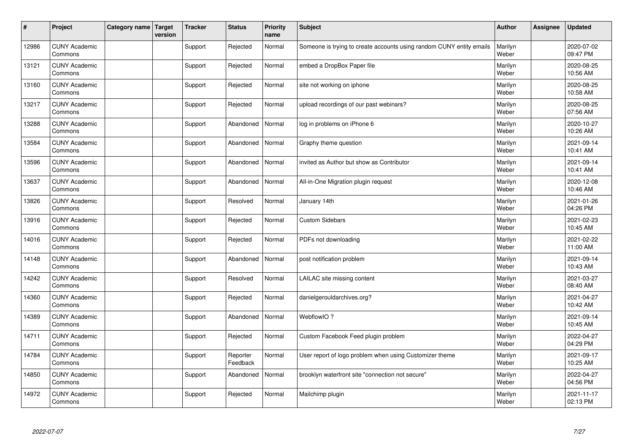| #     | Project                         | Category name   Target | version | <b>Tracker</b> | <b>Status</b>        | <b>Priority</b><br>name | <b>Subject</b>                                                       | <b>Author</b>    | <b>Assignee</b> | <b>Updated</b>         |
|-------|---------------------------------|------------------------|---------|----------------|----------------------|-------------------------|----------------------------------------------------------------------|------------------|-----------------|------------------------|
| 12986 | <b>CUNY Academic</b><br>Commons |                        |         | Support        | Rejected             | Normal                  | Someone is trying to create accounts using random CUNY entity emails | Marilyn<br>Weber |                 | 2020-07-02<br>09:47 PM |
| 13121 | <b>CUNY Academic</b><br>Commons |                        |         | Support        | Rejected             | Normal                  | embed a DropBox Paper file                                           | Marilyn<br>Weber |                 | 2020-08-25<br>10:56 AM |
| 13160 | <b>CUNY Academic</b><br>Commons |                        |         | Support        | Rejected             | Normal                  | site not working on iphone                                           | Marilyn<br>Weber |                 | 2020-08-25<br>10:58 AM |
| 13217 | <b>CUNY Academic</b><br>Commons |                        |         | Support        | Rejected             | Normal                  | upload recordings of our past webinars?                              | Marilyn<br>Weber |                 | 2020-08-25<br>07:56 AM |
| 13288 | <b>CUNY Academic</b><br>Commons |                        |         | Support        | Abandoned            | Normal                  | log in problems on iPhone 6                                          | Marilyn<br>Weber |                 | 2020-10-27<br>10:26 AM |
| 13584 | <b>CUNY Academic</b><br>Commons |                        |         | Support        | Abandoned            | Normal                  | Graphy theme question                                                | Marilyn<br>Weber |                 | 2021-09-14<br>10:41 AM |
| 13596 | <b>CUNY Academic</b><br>Commons |                        |         | Support        | Abandoned            | Normal                  | invited as Author but show as Contributor                            | Marilyn<br>Weber |                 | 2021-09-14<br>10:41 AM |
| 13637 | <b>CUNY Academic</b><br>Commons |                        |         | Support        | Abandoned            | Normal                  | All-in-One Migration plugin request                                  | Marilyn<br>Weber |                 | 2020-12-08<br>10:46 AM |
| 13826 | <b>CUNY Academic</b><br>Commons |                        |         | Support        | Resolved             | Normal                  | January 14th                                                         | Marilyn<br>Weber |                 | 2021-01-26<br>04:26 PM |
| 13916 | <b>CUNY Academic</b><br>Commons |                        |         | Support        | Rejected             | Normal                  | <b>Custom Sidebars</b>                                               | Marilyn<br>Weber |                 | 2021-02-23<br>10:45 AM |
| 14016 | <b>CUNY Academic</b><br>Commons |                        |         | Support        | Rejected             | Normal                  | PDFs not downloading                                                 | Marilyn<br>Weber |                 | 2021-02-22<br>11:00 AM |
| 14148 | <b>CUNY Academic</b><br>Commons |                        |         | Support        | Abandoned            | Normal                  | post notification problem                                            | Marilyn<br>Weber |                 | 2021-09-14<br>10:43 AM |
| 14242 | <b>CUNY Academic</b><br>Commons |                        |         | Support        | Resolved             | Normal                  | LAILAC site missing content                                          | Marilyn<br>Weber |                 | 2021-03-27<br>08:40 AM |
| 14360 | <b>CUNY Academic</b><br>Commons |                        |         | Support        | Rejected             | Normal                  | danielgerouldarchives.org?                                           | Marilyn<br>Weber |                 | 2021-04-27<br>10:42 AM |
| 14389 | <b>CUNY Academic</b><br>Commons |                        |         | Support        | Abandoned            | Normal                  | WebflowIO?                                                           | Marilyn<br>Weber |                 | 2021-09-14<br>10:45 AM |
| 14711 | <b>CUNY Academic</b><br>Commons |                        |         | Support        | Rejected             | Normal                  | Custom Facebook Feed plugin problem                                  | Marilyn<br>Weber |                 | 2022-04-27<br>04:29 PM |
| 14784 | <b>CUNY Academic</b><br>Commons |                        |         | Support        | Reporter<br>Feedback | Normal                  | User report of logo problem when using Customizer theme              | Marilyn<br>Weber |                 | 2021-09-17<br>10:25 AM |
| 14850 | <b>CUNY Academic</b><br>Commons |                        |         | Support        | Abandoned            | Normal                  | brooklyn waterfront site "connection not secure"                     | Marilyn<br>Weber |                 | 2022-04-27<br>04:56 PM |
| 14972 | <b>CUNY Academic</b><br>Commons |                        |         | Support        | Rejected             | Normal                  | Mailchimp plugin                                                     | Marilyn<br>Weber |                 | 2021-11-17<br>02:13 PM |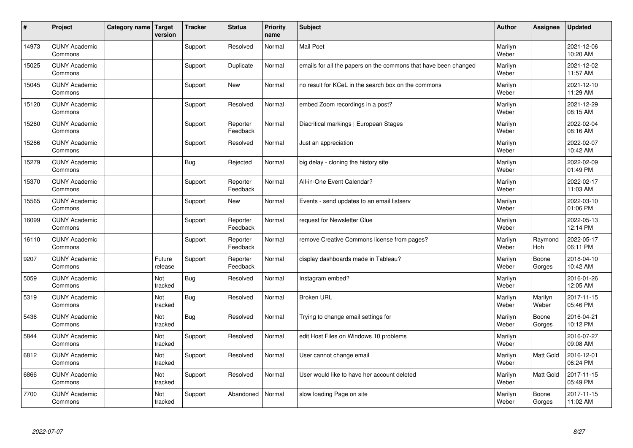| #     | Project                         | Category name   Target | version           | <b>Tracker</b> | <b>Status</b>        | <b>Priority</b><br>name | <b>Subject</b>                                                  | <b>Author</b>    | Assignee         | <b>Updated</b>         |
|-------|---------------------------------|------------------------|-------------------|----------------|----------------------|-------------------------|-----------------------------------------------------------------|------------------|------------------|------------------------|
| 14973 | <b>CUNY Academic</b><br>Commons |                        |                   | Support        | Resolved             | Normal                  | <b>Mail Poet</b>                                                | Marilyn<br>Weber |                  | 2021-12-06<br>10:20 AM |
| 15025 | <b>CUNY Academic</b><br>Commons |                        |                   | Support        | Duplicate            | Normal                  | emails for all the papers on the commons that have been changed | Marilyn<br>Weber |                  | 2021-12-02<br>11:57 AM |
| 15045 | <b>CUNY Academic</b><br>Commons |                        |                   | Support        | <b>New</b>           | Normal                  | no result for KCeL in the search box on the commons             | Marilyn<br>Weber |                  | 2021-12-10<br>11:29 AM |
| 15120 | <b>CUNY Academic</b><br>Commons |                        |                   | Support        | Resolved             | Normal                  | embed Zoom recordings in a post?                                | Marilyn<br>Weber |                  | 2021-12-29<br>08:15 AM |
| 15260 | <b>CUNY Academic</b><br>Commons |                        |                   | Support        | Reporter<br>Feedback | Normal                  | Diacritical markings   European Stages                          | Marilyn<br>Weber |                  | 2022-02-04<br>08:16 AM |
| 15266 | <b>CUNY Academic</b><br>Commons |                        |                   | Support        | Resolved             | Normal                  | Just an appreciation                                            | Marilyn<br>Weber |                  | 2022-02-07<br>10:42 AM |
| 15279 | <b>CUNY Academic</b><br>Commons |                        |                   | Bug            | Rejected             | Normal                  | big delay - cloning the history site                            | Marilyn<br>Weber |                  | 2022-02-09<br>01:49 PM |
| 15370 | <b>CUNY Academic</b><br>Commons |                        |                   | Support        | Reporter<br>Feedback | Normal                  | All-in-One Event Calendar?                                      | Marilyn<br>Weber |                  | 2022-02-17<br>11:03 AM |
| 15565 | <b>CUNY Academic</b><br>Commons |                        |                   | Support        | <b>New</b>           | Normal                  | Events - send updates to an email listserv                      | Marilyn<br>Weber |                  | 2022-03-10<br>01:06 PM |
| 16099 | <b>CUNY Academic</b><br>Commons |                        |                   | Support        | Reporter<br>Feedback | Normal                  | request for Newsletter Glue                                     | Marilyn<br>Weber |                  | 2022-05-13<br>12:14 PM |
| 16110 | <b>CUNY Academic</b><br>Commons |                        |                   | Support        | Reporter<br>Feedback | Normal                  | remove Creative Commons license from pages?                     | Marilyn<br>Weber | Raymond<br>Hoh   | 2022-05-17<br>06:11 PM |
| 9207  | <b>CUNY Academic</b><br>Commons |                        | Future<br>release | Support        | Reporter<br>Feedback | Normal                  | display dashboards made in Tableau?                             | Marilyn<br>Weber | Boone<br>Gorges  | 2018-04-10<br>10:42 AM |
| 5059  | <b>CUNY Academic</b><br>Commons |                        | Not<br>tracked    | <b>Bug</b>     | Resolved             | Normal                  | Instagram embed?                                                | Marilyn<br>Weber |                  | 2016-01-26<br>12:05 AM |
| 5319  | <b>CUNY Academic</b><br>Commons |                        | Not<br>tracked    | <b>Bug</b>     | Resolved             | Normal                  | <b>Broken URL</b>                                               | Marilyn<br>Weber | Marilyn<br>Weber | 2017-11-15<br>05:46 PM |
| 5436  | <b>CUNY Academic</b><br>Commons |                        | Not<br>tracked    | <b>Bug</b>     | Resolved             | Normal                  | Trying to change email settings for                             | Marilyn<br>Weber | Boone<br>Gorges  | 2016-04-21<br>10:12 PM |
| 5844  | <b>CUNY Academic</b><br>Commons |                        | Not<br>tracked    | Support        | Resolved             | Normal                  | edit Host Files on Windows 10 problems                          | Marilyn<br>Weber |                  | 2016-07-27<br>09:08 AM |
| 6812  | <b>CUNY Academic</b><br>Commons |                        | Not<br>tracked    | Support        | Resolved             | Normal                  | User cannot change email                                        | Marilyn<br>Weber | Matt Gold        | 2016-12-01<br>06:24 PM |
| 6866  | <b>CUNY Academic</b><br>Commons |                        | Not<br>tracked    | Support        | Resolved             | Normal                  | User would like to have her account deleted                     | Marilyn<br>Weber | Matt Gold        | 2017-11-15<br>05:49 PM |
| 7700  | <b>CUNY Academic</b><br>Commons |                        | Not<br>tracked    | Support        | Abandoned            | Normal                  | slow loading Page on site                                       | Marilyn<br>Weber | Boone<br>Gorges  | 2017-11-15<br>11:02 AM |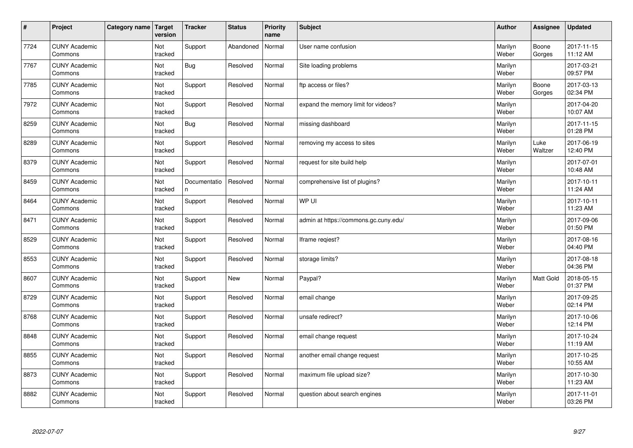| $\sharp$ | Project                         | Category name | Target<br>version | <b>Tracker</b>     | <b>Status</b> | <b>Priority</b><br>name | <b>Subject</b>                        | <b>Author</b>    | Assignee         | <b>Updated</b>         |
|----------|---------------------------------|---------------|-------------------|--------------------|---------------|-------------------------|---------------------------------------|------------------|------------------|------------------------|
| 7724     | <b>CUNY Academic</b><br>Commons |               | Not<br>tracked    | Support            | Abandoned     | Normal                  | User name confusion                   | Marilyn<br>Weber | Boone<br>Gorges  | 2017-11-15<br>11:12 AM |
| 7767     | <b>CUNY Academic</b><br>Commons |               | Not<br>tracked    | Bug                | Resolved      | Normal                  | Site loading problems                 | Marilyn<br>Weber |                  | 2017-03-21<br>09:57 PM |
| 7785     | <b>CUNY Academic</b><br>Commons |               | Not<br>tracked    | Support            | Resolved      | Normal                  | ftp access or files?                  | Marilyn<br>Weber | Boone<br>Gorges  | 2017-03-13<br>02:34 PM |
| 7972     | <b>CUNY Academic</b><br>Commons |               | Not<br>tracked    | Support            | Resolved      | Normal                  | expand the memory limit for videos?   | Marilyn<br>Weber |                  | 2017-04-20<br>10:07 AM |
| 8259     | <b>CUNY Academic</b><br>Commons |               | Not<br>tracked    | Bug                | Resolved      | Normal                  | missing dashboard                     | Marilyn<br>Weber |                  | 2017-11-15<br>01:28 PM |
| 8289     | <b>CUNY Academic</b><br>Commons |               | Not<br>tracked    | Support            | Resolved      | Normal                  | removing my access to sites           | Marilyn<br>Weber | Luke<br>Waltzer  | 2017-06-19<br>12:40 PM |
| 8379     | <b>CUNY Academic</b><br>Commons |               | Not<br>tracked    | Support            | Resolved      | Normal                  | request for site build help           | Marilyn<br>Weber |                  | 2017-07-01<br>10:48 AM |
| 8459     | <b>CUNY Academic</b><br>Commons |               | Not<br>tracked    | Documentatio<br>n. | Resolved      | Normal                  | comprehensive list of plugins?        | Marilyn<br>Weber |                  | 2017-10-11<br>11:24 AM |
| 8464     | <b>CUNY Academic</b><br>Commons |               | Not<br>tracked    | Support            | Resolved      | Normal                  | WP UI                                 | Marilyn<br>Weber |                  | 2017-10-11<br>11:23 AM |
| 8471     | <b>CUNY Academic</b><br>Commons |               | Not<br>tracked    | Support            | Resolved      | Normal                  | admin at https://commons.gc.cuny.edu/ | Marilyn<br>Weber |                  | 2017-09-06<br>01:50 PM |
| 8529     | <b>CUNY Academic</b><br>Commons |               | Not<br>tracked    | Support            | Resolved      | Normal                  | Iframe regiest?                       | Marilyn<br>Weber |                  | 2017-08-16<br>04:40 PM |
| 8553     | <b>CUNY Academic</b><br>Commons |               | Not<br>tracked    | Support            | Resolved      | Normal                  | storage limits?                       | Marilyn<br>Weber |                  | 2017-08-18<br>04:36 PM |
| 8607     | <b>CUNY Academic</b><br>Commons |               | Not<br>tracked    | Support            | <b>New</b>    | Normal                  | Paypal?                               | Marilyn<br>Weber | <b>Matt Gold</b> | 2018-05-15<br>01:37 PM |
| 8729     | <b>CUNY Academic</b><br>Commons |               | Not<br>tracked    | Support            | Resolved      | Normal                  | email change                          | Marilyn<br>Weber |                  | 2017-09-25<br>02:14 PM |
| 8768     | <b>CUNY Academic</b><br>Commons |               | Not<br>tracked    | Support            | Resolved      | Normal                  | unsafe redirect?                      | Marilyn<br>Weber |                  | 2017-10-06<br>12:14 PM |
| 8848     | <b>CUNY Academic</b><br>Commons |               | Not<br>tracked    | Support            | Resolved      | Normal                  | email change request                  | Marilyn<br>Weber |                  | 2017-10-24<br>11:19 AM |
| 8855     | <b>CUNY Academic</b><br>Commons |               | Not<br>tracked    | Support            | Resolved      | Normal                  | another email change request          | Marilyn<br>Weber |                  | 2017-10-25<br>10:55 AM |
| 8873     | <b>CUNY Academic</b><br>Commons |               | Not<br>tracked    | Support            | Resolved      | Normal                  | maximum file upload size?             | Marilyn<br>Weber |                  | 2017-10-30<br>11:23 AM |
| 8882     | <b>CUNY Academic</b><br>Commons |               | Not<br>tracked    | Support            | Resolved      | Normal                  | question about search engines         | Marilyn<br>Weber |                  | 2017-11-01<br>03:26 PM |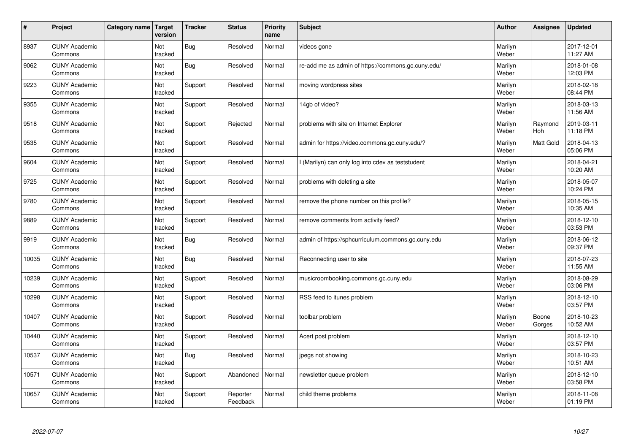| $\sharp$ | Project                         | Category name | Target<br>version | <b>Tracker</b> | <b>Status</b>        | <b>Priority</b><br>name | <b>Subject</b>                                     | <b>Author</b>    | <b>Assignee</b> | <b>Updated</b>         |
|----------|---------------------------------|---------------|-------------------|----------------|----------------------|-------------------------|----------------------------------------------------|------------------|-----------------|------------------------|
| 8937     | <b>CUNY Academic</b><br>Commons |               | Not<br>tracked    | <b>Bug</b>     | Resolved             | Normal                  | videos gone                                        | Marilyn<br>Weber |                 | 2017-12-01<br>11:27 AM |
| 9062     | <b>CUNY Academic</b><br>Commons |               | Not<br>tracked    | Bug            | Resolved             | Normal                  | re-add me as admin of https://commons.gc.cuny.edu/ | Marilyn<br>Weber |                 | 2018-01-08<br>12:03 PM |
| 9223     | <b>CUNY Academic</b><br>Commons |               | Not<br>tracked    | Support        | Resolved             | Normal                  | moving wordpress sites                             | Marilyn<br>Weber |                 | 2018-02-18<br>08:44 PM |
| 9355     | <b>CUNY Academic</b><br>Commons |               | Not<br>tracked    | Support        | Resolved             | Normal                  | 14gb of video?                                     | Marilyn<br>Weber |                 | 2018-03-13<br>11:56 AM |
| 9518     | <b>CUNY Academic</b><br>Commons |               | Not<br>tracked    | Support        | Rejected             | Normal                  | problems with site on Internet Explorer            | Marilyn<br>Weber | Raymond<br>Hoh  | 2019-03-11<br>11:18 PM |
| 9535     | <b>CUNY Academic</b><br>Commons |               | Not<br>tracked    | Support        | Resolved             | Normal                  | admin for https://video.commons.gc.cuny.edu/?      | Marilyn<br>Weber | Matt Gold       | 2018-04-13<br>05:06 PM |
| 9604     | <b>CUNY Academic</b><br>Commons |               | Not<br>tracked    | Support        | Resolved             | Normal                  | l (Marilyn) can only log into cdev as teststudent  | Marilyn<br>Weber |                 | 2018-04-21<br>10:20 AM |
| 9725     | <b>CUNY Academic</b><br>Commons |               | Not<br>tracked    | Support        | Resolved             | Normal                  | problems with deleting a site                      | Marilyn<br>Weber |                 | 2018-05-07<br>10:24 PM |
| 9780     | <b>CUNY Academic</b><br>Commons |               | Not<br>tracked    | Support        | Resolved             | Normal                  | remove the phone number on this profile?           | Marilyn<br>Weber |                 | 2018-05-15<br>10:35 AM |
| 9889     | <b>CUNY Academic</b><br>Commons |               | Not<br>tracked    | Support        | Resolved             | Normal                  | remove comments from activity feed?                | Marilyn<br>Weber |                 | 2018-12-10<br>03:53 PM |
| 9919     | <b>CUNY Academic</b><br>Commons |               | Not<br>tracked    | <b>Bug</b>     | Resolved             | Normal                  | admin of https://sphcurriculum.commons.gc.cuny.edu | Marilyn<br>Weber |                 | 2018-06-12<br>09:37 PM |
| 10035    | <b>CUNY Academic</b><br>Commons |               | Not<br>tracked    | <b>Bug</b>     | Resolved             | Normal                  | Reconnecting user to site                          | Marilyn<br>Weber |                 | 2018-07-23<br>11:55 AM |
| 10239    | <b>CUNY Academic</b><br>Commons |               | Not<br>tracked    | Support        | Resolved             | Normal                  | musicroombooking.commons.gc.cuny.edu               | Marilyn<br>Weber |                 | 2018-08-29<br>03:06 PM |
| 10298    | <b>CUNY Academic</b><br>Commons |               | Not<br>tracked    | Support        | Resolved             | Normal                  | RSS feed to itunes problem                         | Marilyn<br>Weber |                 | 2018-12-10<br>03:57 PM |
| 10407    | <b>CUNY Academic</b><br>Commons |               | Not<br>tracked    | Support        | Resolved             | Normal                  | toolbar problem                                    | Marilyn<br>Weber | Boone<br>Gorges | 2018-10-23<br>10:52 AM |
| 10440    | <b>CUNY Academic</b><br>Commons |               | Not<br>tracked    | Support        | Resolved             | Normal                  | Acert post problem                                 | Marilyn<br>Weber |                 | 2018-12-10<br>03:57 PM |
| 10537    | <b>CUNY Academic</b><br>Commons |               | Not<br>tracked    | <b>Bug</b>     | Resolved             | Normal                  | jpegs not showing                                  | Marilyn<br>Weber |                 | 2018-10-23<br>10:51 AM |
| 10571    | <b>CUNY Academic</b><br>Commons |               | Not<br>tracked    | Support        | Abandoned            | Normal                  | newsletter queue problem                           | Marilyn<br>Weber |                 | 2018-12-10<br>03:58 PM |
| 10657    | <b>CUNY Academic</b><br>Commons |               | Not<br>tracked    | Support        | Reporter<br>Feedback | Normal                  | child theme problems                               | Marilyn<br>Weber |                 | 2018-11-08<br>01:19 PM |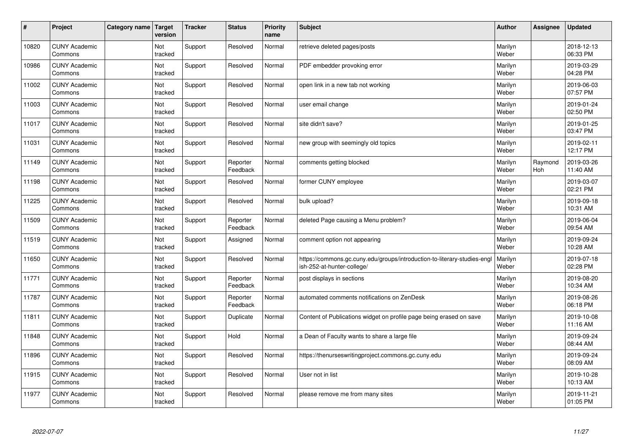| #     | Project                         | Category name | Target<br>version | <b>Tracker</b> | <b>Status</b>        | <b>Priority</b><br>name | <b>Subject</b>                                                                                         | <b>Author</b>    | Assignee       | <b>Updated</b>         |
|-------|---------------------------------|---------------|-------------------|----------------|----------------------|-------------------------|--------------------------------------------------------------------------------------------------------|------------------|----------------|------------------------|
| 10820 | <b>CUNY Academic</b><br>Commons |               | Not<br>tracked    | Support        | Resolved             | Normal                  | retrieve deleted pages/posts                                                                           | Marilyn<br>Weber |                | 2018-12-13<br>06:33 PM |
| 10986 | <b>CUNY Academic</b><br>Commons |               | Not<br>tracked    | Support        | Resolved             | Normal                  | PDF embedder provoking error                                                                           | Marilyn<br>Weber |                | 2019-03-29<br>04:28 PM |
| 11002 | <b>CUNY Academic</b><br>Commons |               | Not<br>tracked    | Support        | Resolved             | Normal                  | open link in a new tab not working                                                                     | Marilyn<br>Weber |                | 2019-06-03<br>07:57 PM |
| 11003 | <b>CUNY Academic</b><br>Commons |               | Not<br>tracked    | Support        | Resolved             | Normal                  | user email change                                                                                      | Marilyn<br>Weber |                | 2019-01-24<br>02:50 PM |
| 11017 | <b>CUNY Academic</b><br>Commons |               | Not<br>tracked    | Support        | Resolved             | Normal                  | site didn't save?                                                                                      | Marilyn<br>Weber |                | 2019-01-25<br>03:47 PM |
| 11031 | <b>CUNY Academic</b><br>Commons |               | Not<br>tracked    | Support        | Resolved             | Normal                  | new group with seemingly old topics                                                                    | Marilyn<br>Weber |                | 2019-02-11<br>12:17 PM |
| 11149 | <b>CUNY Academic</b><br>Commons |               | Not<br>tracked    | Support        | Reporter<br>Feedback | Normal                  | comments getting blocked                                                                               | Marilyn<br>Weber | Raymond<br>Hoh | 2019-03-26<br>11:40 AM |
| 11198 | <b>CUNY Academic</b><br>Commons |               | Not<br>tracked    | Support        | Resolved             | Normal                  | former CUNY employee                                                                                   | Marilyn<br>Weber |                | 2019-03-07<br>02:21 PM |
| 11225 | <b>CUNY Academic</b><br>Commons |               | Not<br>tracked    | Support        | Resolved             | Normal                  | bulk upload?                                                                                           | Marilyn<br>Weber |                | 2019-09-18<br>10:31 AM |
| 11509 | <b>CUNY Academic</b><br>Commons |               | Not<br>tracked    | Support        | Reporter<br>Feedback | Normal                  | deleted Page causing a Menu problem?                                                                   | Marilyn<br>Weber |                | 2019-06-04<br>09:54 AM |
| 11519 | <b>CUNY Academic</b><br>Commons |               | Not<br>tracked    | Support        | Assigned             | Normal                  | comment option not appearing                                                                           | Marilyn<br>Weber |                | 2019-09-24<br>10:28 AM |
| 11650 | <b>CUNY Academic</b><br>Commons |               | Not<br>tracked    | Support        | Resolved             | Normal                  | https://commons.gc.cuny.edu/groups/introduction-to-literary-studies-engl<br>ish-252-at-hunter-college/ | Marilyn<br>Weber |                | 2019-07-18<br>02:28 PM |
| 11771 | <b>CUNY Academic</b><br>Commons |               | Not<br>tracked    | Support        | Reporter<br>Feedback | Normal                  | post displays in sections                                                                              | Marilyn<br>Weber |                | 2019-08-20<br>10:34 AM |
| 11787 | <b>CUNY Academic</b><br>Commons |               | Not<br>tracked    | Support        | Reporter<br>Feedback | Normal                  | automated comments notifications on ZenDesk                                                            | Marilyn<br>Weber |                | 2019-08-26<br>06:18 PM |
| 11811 | <b>CUNY Academic</b><br>Commons |               | Not<br>tracked    | Support        | Duplicate            | Normal                  | Content of Publications widget on profile page being erased on save                                    | Marilyn<br>Weber |                | 2019-10-08<br>11:16 AM |
| 11848 | <b>CUNY Academic</b><br>Commons |               | Not<br>tracked    | Support        | Hold                 | Normal                  | a Dean of Faculty wants to share a large file                                                          | Marilyn<br>Weber |                | 2019-09-24<br>08:44 AM |
| 11896 | <b>CUNY Academic</b><br>Commons |               | Not<br>tracked    | Support        | Resolved             | Normal                  | https://thenurseswritingproject.commons.gc.cuny.edu                                                    | Marilyn<br>Weber |                | 2019-09-24<br>08:09 AM |
| 11915 | <b>CUNY Academic</b><br>Commons |               | Not<br>tracked    | Support        | Resolved             | Normal                  | User not in list                                                                                       | Marilyn<br>Weber |                | 2019-10-28<br>10:13 AM |
| 11977 | <b>CUNY Academic</b><br>Commons |               | Not<br>tracked    | Support        | Resolved             | Normal                  | please remove me from many sites                                                                       | Marilyn<br>Weber |                | 2019-11-21<br>01:05 PM |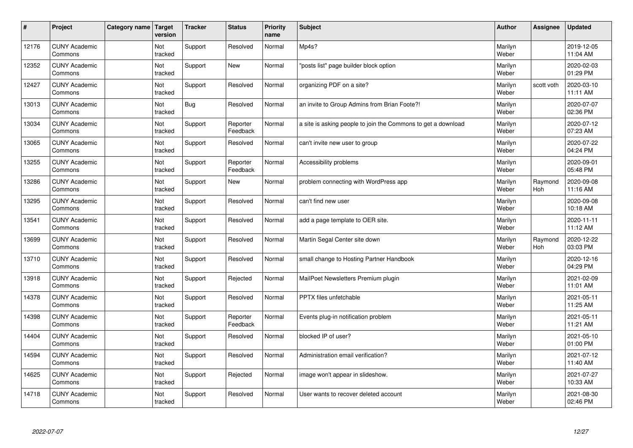| $\vert$ # | Project                         | Category name   Target | version               | <b>Tracker</b> | <b>Status</b>        | <b>Priority</b><br>name | <b>Subject</b>                                                | <b>Author</b>    | <b>Assignee</b> | <b>Updated</b>         |
|-----------|---------------------------------|------------------------|-----------------------|----------------|----------------------|-------------------------|---------------------------------------------------------------|------------------|-----------------|------------------------|
| 12176     | <b>CUNY Academic</b><br>Commons |                        | Not<br>tracked        | Support        | Resolved             | Normal                  | Mp4s?                                                         | Marilyn<br>Weber |                 | 2019-12-05<br>11:04 AM |
| 12352     | <b>CUNY Academic</b><br>Commons |                        | Not<br>tracked        | Support        | <b>New</b>           | Normal                  | 'posts list" page builder block option                        | Marilyn<br>Weber |                 | 2020-02-03<br>01:29 PM |
| 12427     | <b>CUNY Academic</b><br>Commons |                        | Not<br>tracked        | Support        | Resolved             | Normal                  | organizing PDF on a site?                                     | Marilyn<br>Weber | scott voth      | 2020-03-10<br>11:11 AM |
| 13013     | <b>CUNY Academic</b><br>Commons |                        | Not<br>tracked        | <b>Bug</b>     | Resolved             | Normal                  | an invite to Group Admins from Brian Foote?!                  | Marilyn<br>Weber |                 | 2020-07-07<br>02:36 PM |
| 13034     | <b>CUNY Academic</b><br>Commons |                        | <b>Not</b><br>tracked | Support        | Reporter<br>Feedback | Normal                  | a site is asking people to join the Commons to get a download | Marilyn<br>Weber |                 | 2020-07-12<br>07:23 AM |
| 13065     | <b>CUNY Academic</b><br>Commons |                        | Not<br>tracked        | Support        | Resolved             | Normal                  | can't invite new user to group                                | Marilyn<br>Weber |                 | 2020-07-22<br>04:24 PM |
| 13255     | <b>CUNY Academic</b><br>Commons |                        | Not<br>tracked        | Support        | Reporter<br>Feedback | Normal                  | Accessibility problems                                        | Marilyn<br>Weber |                 | 2020-09-01<br>05:48 PM |
| 13286     | <b>CUNY Academic</b><br>Commons |                        | Not<br>tracked        | Support        | <b>New</b>           | Normal                  | problem connecting with WordPress app                         | Marilyn<br>Weber | Raymond<br>Hoh  | 2020-09-08<br>11:16 AM |
| 13295     | <b>CUNY Academic</b><br>Commons |                        | Not<br>tracked        | Support        | Resolved             | Normal                  | can't find new user                                           | Marilyn<br>Weber |                 | 2020-09-08<br>10:18 AM |
| 13541     | <b>CUNY Academic</b><br>Commons |                        | Not<br>tracked        | Support        | Resolved             | Normal                  | add a page template to OER site.                              | Marilyn<br>Weber |                 | 2020-11-11<br>11:12 AM |
| 13699     | <b>CUNY Academic</b><br>Commons |                        | Not<br>tracked        | Support        | Resolved             | Normal                  | Martin Segal Center site down                                 | Marilyn<br>Weber | Raymond<br>Hoh  | 2020-12-22<br>03:03 PM |
| 13710     | <b>CUNY Academic</b><br>Commons |                        | Not<br>tracked        | Support        | Resolved             | Normal                  | small change to Hosting Partner Handbook                      | Marilyn<br>Weber |                 | 2020-12-16<br>04:29 PM |
| 13918     | <b>CUNY Academic</b><br>Commons |                        | Not<br>tracked        | Support        | Rejected             | Normal                  | MailPoet Newsletters Premium plugin                           | Marilyn<br>Weber |                 | 2021-02-09<br>11:01 AM |
| 14378     | <b>CUNY Academic</b><br>Commons |                        | Not<br>tracked        | Support        | Resolved             | Normal                  | PPTX files unfetchable                                        | Marilyn<br>Weber |                 | 2021-05-11<br>11:25 AM |
| 14398     | <b>CUNY Academic</b><br>Commons |                        | Not<br>tracked        | Support        | Reporter<br>Feedback | Normal                  | Events plug-in notification problem                           | Marilyn<br>Weber |                 | 2021-05-11<br>11:21 AM |
| 14404     | <b>CUNY Academic</b><br>Commons |                        | Not<br>tracked        | Support        | Resolved             | Normal                  | blocked IP of user?                                           | Marilyn<br>Weber |                 | 2021-05-10<br>01:00 PM |
| 14594     | <b>CUNY Academic</b><br>Commons |                        | Not<br>tracked        | Support        | Resolved             | Normal                  | Administration email verification?                            | Marilyn<br>Weber |                 | 2021-07-12<br>11:40 AM |
| 14625     | <b>CUNY Academic</b><br>Commons |                        | Not<br>tracked        | Support        | Rejected             | Normal                  | image won't appear in slideshow.                              | Marilyn<br>Weber |                 | 2021-07-27<br>10:33 AM |
| 14718     | <b>CUNY Academic</b><br>Commons |                        | Not<br>tracked        | Support        | Resolved             | Normal                  | User wants to recover deleted account                         | Marilyn<br>Weber |                 | 2021-08-30<br>02:46 PM |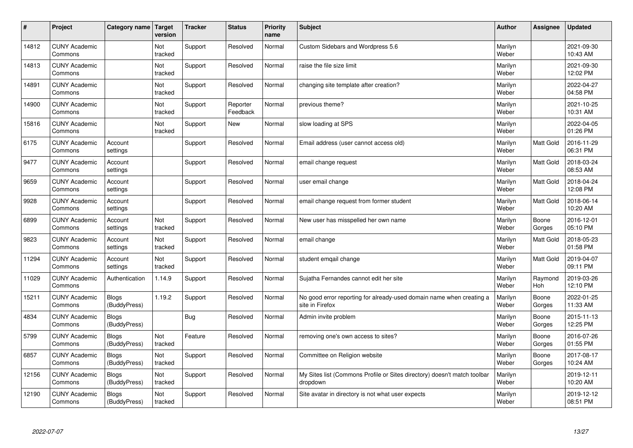| $\pmb{\sharp}$ | Project                         | Category name                | <b>Target</b><br>version | <b>Tracker</b> | <b>Status</b>        | <b>Priority</b><br>name | <b>Subject</b>                                                                          | <b>Author</b>    | <b>Assignee</b>  | <b>Updated</b>         |
|----------------|---------------------------------|------------------------------|--------------------------|----------------|----------------------|-------------------------|-----------------------------------------------------------------------------------------|------------------|------------------|------------------------|
| 14812          | <b>CUNY Academic</b><br>Commons |                              | Not<br>tracked           | Support        | Resolved             | Normal                  | <b>Custom Sidebars and Wordpress 5.6</b>                                                | Marilyn<br>Weber |                  | 2021-09-30<br>10:43 AM |
| 14813          | <b>CUNY Academic</b><br>Commons |                              | Not<br>tracked           | Support        | Resolved             | Normal                  | raise the file size limit                                                               | Marilyn<br>Weber |                  | 2021-09-30<br>12:02 PM |
| 14891          | <b>CUNY Academic</b><br>Commons |                              | Not<br>tracked           | Support        | Resolved             | Normal                  | changing site template after creation?                                                  | Marilyn<br>Weber |                  | 2022-04-27<br>04:58 PM |
| 14900          | <b>CUNY Academic</b><br>Commons |                              | Not<br>tracked           | Support        | Reporter<br>Feedback | Normal                  | previous theme?                                                                         | Marilyn<br>Weber |                  | 2021-10-25<br>10:31 AM |
| 15816          | <b>CUNY Academic</b><br>Commons |                              | Not<br>tracked           | Support        | <b>New</b>           | Normal                  | slow loading at SPS                                                                     | Marilyn<br>Weber |                  | 2022-04-05<br>01:26 PM |
| 6175           | <b>CUNY Academic</b><br>Commons | Account<br>settings          |                          | Support        | Resolved             | Normal                  | Email address (user cannot access old)                                                  | Marilyn<br>Weber | Matt Gold        | 2016-11-29<br>06:31 PM |
| 9477           | <b>CUNY Academic</b><br>Commons | Account<br>settings          |                          | Support        | Resolved             | Normal                  | email change request                                                                    | Marilyn<br>Weber | <b>Matt Gold</b> | 2018-03-24<br>08:53 AM |
| 9659           | <b>CUNY Academic</b><br>Commons | Account<br>settings          |                          | Support        | Resolved             | Normal                  | user email change                                                                       | Marilyn<br>Weber | Matt Gold        | 2018-04-24<br>12:08 PM |
| 9928           | <b>CUNY Academic</b><br>Commons | Account<br>settings          |                          | Support        | Resolved             | Normal                  | email change request from former student                                                | Marilyn<br>Weber | Matt Gold        | 2018-06-14<br>10:20 AM |
| 6899           | <b>CUNY Academic</b><br>Commons | Account<br>settings          | Not<br>tracked           | Support        | Resolved             | Normal                  | New user has misspelled her own name                                                    | Marilyn<br>Weber | Boone<br>Gorges  | 2016-12-01<br>05:10 PM |
| 9823           | <b>CUNY Academic</b><br>Commons | Account<br>settings          | Not<br>tracked           | Support        | Resolved             | Normal                  | email change                                                                            | Marilyn<br>Weber | Matt Gold        | 2018-05-23<br>01:58 PM |
| 11294          | <b>CUNY Academic</b><br>Commons | Account<br>settings          | Not<br>tracked           | Support        | Resolved             | Normal                  | student emgail change                                                                   | Marilyn<br>Weber | Matt Gold        | 2019-04-07<br>09:11 PM |
| 11029          | <b>CUNY Academic</b><br>Commons | Authentication               | 1.14.9                   | Support        | Resolved             | Normal                  | Sujatha Fernandes cannot edit her site                                                  | Marilyn<br>Weber | Raymond<br>Hoh   | 2019-03-26<br>12:10 PM |
| 15211          | <b>CUNY Academic</b><br>Commons | <b>Blogs</b><br>(BuddyPress) | 1.19.2                   | Support        | Resolved             | Normal                  | No good error reporting for already-used domain name when creating a<br>site in Firefox | Marilyn<br>Weber | Boone<br>Gorges  | 2022-01-25<br>11:33 AM |
| 4834           | <b>CUNY Academic</b><br>Commons | <b>Blogs</b><br>(BuddyPress) |                          | <b>Bug</b>     | Resolved             | Normal                  | Admin invite problem                                                                    | Marilyn<br>Weber | Boone<br>Gorges  | 2015-11-13<br>12:25 PM |
| 5799           | <b>CUNY Academic</b><br>Commons | <b>Blogs</b><br>(BuddyPress) | Not<br>tracked           | Feature        | Resolved             | Normal                  | removing one's own access to sites?                                                     | Marilyn<br>Weber | Boone<br>Gorges  | 2016-07-26<br>01:55 PM |
| 6857           | <b>CUNY Academic</b><br>Commons | Blogs<br>(BuddyPress)        | Not<br>tracked           | Support        | Resolved             | Normal                  | Committee on Religion website                                                           | Marilyn<br>Weber | Boone<br>Gorges  | 2017-08-17<br>10:24 AM |
| 12156          | <b>CUNY Academic</b><br>Commons | <b>Blogs</b><br>(BuddyPress) | Not<br>tracked           | Support        | Resolved             | Normal                  | My Sites list (Commons Profile or Sites directory) doesn't match toolbar<br>dropdown    | Marilyn<br>Weber |                  | 2019-12-11<br>10:20 AM |
| 12190          | <b>CUNY Academic</b><br>Commons | <b>Blogs</b><br>(BuddyPress) | Not<br>tracked           | Support        | Resolved             | Normal                  | Site avatar in directory is not what user expects                                       | Marilyn<br>Weber |                  | 2019-12-12<br>08:51 PM |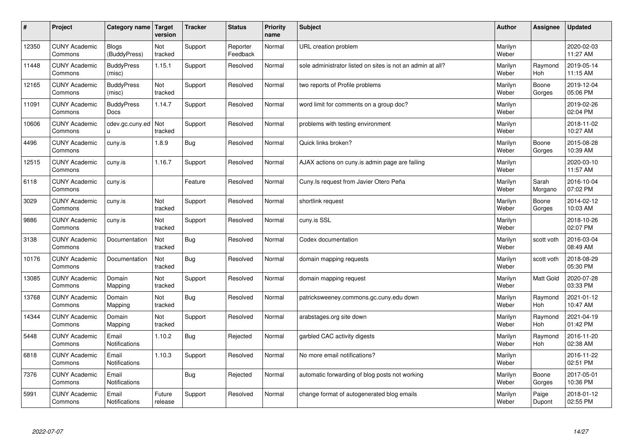| $\sharp$ | Project                         | <b>Category name</b>             | Target<br>version     | <b>Tracker</b> | <b>Status</b>        | <b>Priority</b><br>name | <b>Subject</b>                                             | <b>Author</b>    | Assignee         | Updated                |
|----------|---------------------------------|----------------------------------|-----------------------|----------------|----------------------|-------------------------|------------------------------------------------------------|------------------|------------------|------------------------|
| 12350    | <b>CUNY Academic</b><br>Commons | <b>Blogs</b><br>(BuddyPress)     | Not<br>tracked        | Support        | Reporter<br>Feedback | Normal                  | URL creation problem                                       | Marilyn<br>Weber |                  | 2020-02-03<br>11:27 AM |
| 11448    | <b>CUNY Academic</b><br>Commons | <b>BuddyPress</b><br>(misc)      | 1.15.1                | Support        | Resolved             | Normal                  | sole administrator listed on sites is not an admin at all? | Marilyn<br>Weber | Raymond<br>Hoh   | 2019-05-14<br>11:15 AM |
| 12165    | <b>CUNY Academic</b><br>Commons | <b>BuddyPress</b><br>(misc)      | Not<br>tracked        | Support        | Resolved             | Normal                  | two reports of Profile problems                            | Marilyn<br>Weber | Boone<br>Gorges  | 2019-12-04<br>05:06 PM |
| 11091    | <b>CUNY Academic</b><br>Commons | <b>BuddyPress</b><br><b>Docs</b> | 1.14.7                | Support        | Resolved             | Normal                  | word limit for comments on a group doc?                    | Marilyn<br>Weber |                  | 2019-02-26<br>02:04 PM |
| 10606    | <b>CUNY Academic</b><br>Commons | cdev.gc.cuny.ed<br>u.            | <b>Not</b><br>tracked | Support        | Resolved             | Normal                  | problems with testing environment                          | Marilyn<br>Weber |                  | 2018-11-02<br>10:27 AM |
| 4496     | <b>CUNY Academic</b><br>Commons | cuny.is                          | 1.8.9                 | Bug            | Resolved             | Normal                  | Quick links broken?                                        | Marilyn<br>Weber | Boone<br>Gorges  | 2015-08-28<br>10:39 AM |
| 12515    | <b>CUNY Academic</b><br>Commons | cuny.is                          | 1.16.7                | Support        | Resolved             | Normal                  | AJAX actions on cuny is admin page are failing             | Marilyn<br>Weber |                  | 2020-03-10<br>11:57 AM |
| 6118     | <b>CUNY Academic</b><br>Commons | cuny.is                          |                       | Feature        | Resolved             | Normal                  | Cuny. Is request from Javier Otero Peña                    | Marilyn<br>Weber | Sarah<br>Morgano | 2016-10-04<br>07:02 PM |
| 3029     | <b>CUNY Academic</b><br>Commons | cuny.is                          | Not<br>tracked        | Support        | Resolved             | Normal                  | shortlink request                                          | Marilyn<br>Weber | Boone<br>Gorges  | 2014-02-12<br>10:03 AM |
| 9886     | <b>CUNY Academic</b><br>Commons | cuny.is                          | Not<br>tracked        | Support        | Resolved             | Normal                  | cuny.is SSL                                                | Marilyn<br>Weber |                  | 2018-10-26<br>02:07 PM |
| 3138     | <b>CUNY Academic</b><br>Commons | Documentation                    | Not<br>tracked        | <b>Bug</b>     | Resolved             | Normal                  | Codex documentation                                        | Marilyn<br>Weber | scott voth       | 2016-03-04<br>08:49 AM |
| 10176    | <b>CUNY Academic</b><br>Commons | Documentation                    | Not<br>tracked        | <b>Bug</b>     | Resolved             | Normal                  | domain mapping requests                                    | Marilyn<br>Weber | scott voth       | 2018-08-29<br>05:30 PM |
| 13085    | <b>CUNY Academic</b><br>Commons | Domain<br>Mapping                | Not<br>tracked        | Support        | Resolved             | Normal                  | domain mapping request                                     | Marilyn<br>Weber | Matt Gold        | 2020-07-28<br>03:33 PM |
| 13768    | <b>CUNY Academic</b><br>Commons | Domain<br>Mapping                | Not<br>tracked        | <b>Bug</b>     | Resolved             | Normal                  | patricksweeney.commons.gc.cuny.edu down                    | Marilyn<br>Weber | Raymond<br>Hoh   | 2021-01-12<br>10:47 AM |
| 14344    | <b>CUNY Academic</b><br>Commons | Domain<br>Mapping                | Not<br>tracked        | Support        | Resolved             | Normal                  | arabstages.org site down                                   | Marilyn<br>Weber | Raymond<br>Hoh   | 2021-04-19<br>01:42 PM |
| 5448     | <b>CUNY Academic</b><br>Commons | Email<br><b>Notifications</b>    | 1.10.2                | Bug            | Rejected             | Normal                  | garbled CAC activity digests                               | Marilyn<br>Weber | Raymond<br>Hoh   | 2016-11-20<br>02:38 AM |
| 6818     | <b>CUNY Academic</b><br>Commons | Email<br>Notifications           | 1.10.3                | Support        | Resolved             | Normal                  | No more email notifications?                               | Marilyn<br>Weber |                  | 2016-11-22<br>02:51 PM |
| 7376     | <b>CUNY Academic</b><br>Commons | Email<br><b>Notifications</b>    |                       | <b>Bug</b>     | Rejected             | Normal                  | automatic forwarding of blog posts not working             | Marilyn<br>Weber | Boone<br>Gorges  | 2017-05-01<br>10:36 PM |
| 5991     | <b>CUNY Academic</b><br>Commons | Email<br><b>Notifications</b>    | Future<br>release     | Support        | Resolved             | Normal                  | change format of autogenerated blog emails                 | Marilyn<br>Weber | Paige<br>Dupont  | 2018-01-12<br>02:55 PM |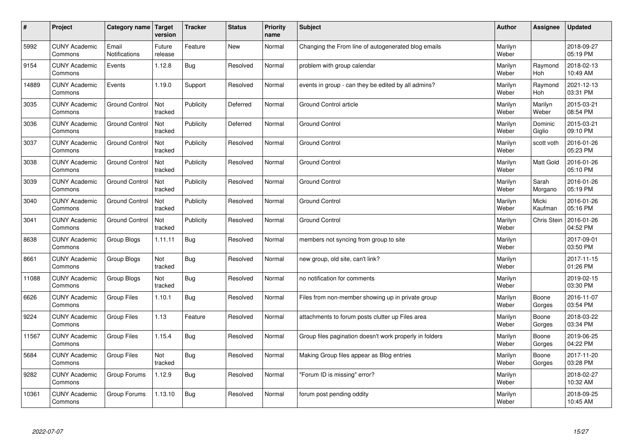| #     | Project                         | <b>Category name</b>   | Target<br>version | <b>Tracker</b> | <b>Status</b> | <b>Priority</b><br>name | <b>Subject</b>                                          | <b>Author</b>    | <b>Assignee</b>    | <b>Updated</b>         |
|-------|---------------------------------|------------------------|-------------------|----------------|---------------|-------------------------|---------------------------------------------------------|------------------|--------------------|------------------------|
| 5992  | <b>CUNY Academic</b><br>Commons | Email<br>Notifications | Future<br>release | Feature        | <b>New</b>    | Normal                  | Changing the From line of autogenerated blog emails     | Marilyn<br>Weber |                    | 2018-09-27<br>05:19 PM |
| 9154  | <b>CUNY Academic</b><br>Commons | Events                 | 1.12.8            | <b>Bug</b>     | Resolved      | Normal                  | problem with group calendar                             | Marilyn<br>Weber | Raymond<br>Hoh     | 2018-02-13<br>10:49 AM |
| 14889 | <b>CUNY Academic</b><br>Commons | Events                 | 1.19.0            | Support        | Resolved      | Normal                  | events in group - can they be edited by all admins?     | Marilyn<br>Weber | Raymond<br>Hoh     | 2021-12-13<br>03:31 PM |
| 3035  | <b>CUNY Academic</b><br>Commons | <b>Ground Control</b>  | Not<br>tracked    | Publicity      | Deferred      | Normal                  | <b>Ground Control article</b>                           | Marilyn<br>Weber | Marilyn<br>Weber   | 2015-03-21<br>08:54 PM |
| 3036  | <b>CUNY Academic</b><br>Commons | <b>Ground Control</b>  | Not<br>tracked    | Publicity      | Deferred      | Normal                  | <b>Ground Control</b>                                   | Marilyn<br>Weber | Dominic<br>Giglio  | 2015-03-21<br>09:10 PM |
| 3037  | <b>CUNY Academic</b><br>Commons | <b>Ground Control</b>  | Not<br>tracked    | Publicity      | Resolved      | Normal                  | <b>Ground Control</b>                                   | Marilyn<br>Weber | scott voth         | 2016-01-26<br>05:23 PM |
| 3038  | <b>CUNY Academic</b><br>Commons | <b>Ground Control</b>  | Not<br>tracked    | Publicity      | Resolved      | Normal                  | <b>Ground Control</b>                                   | Marilyn<br>Weber | Matt Gold          | 2016-01-26<br>05:10 PM |
| 3039  | <b>CUNY Academic</b><br>Commons | <b>Ground Control</b>  | Not<br>tracked    | Publicity      | Resolved      | Normal                  | <b>Ground Control</b>                                   | Marilyn<br>Weber | Sarah<br>Morgano   | 2016-01-26<br>05:19 PM |
| 3040  | <b>CUNY Academic</b><br>Commons | <b>Ground Control</b>  | Not<br>tracked    | Publicity      | Resolved      | Normal                  | <b>Ground Control</b>                                   | Marilyn<br>Weber | Micki<br>Kaufman   | 2016-01-26<br>05:16 PM |
| 3041  | <b>CUNY Academic</b><br>Commons | <b>Ground Control</b>  | Not<br>tracked    | Publicity      | Resolved      | Normal                  | <b>Ground Control</b>                                   | Marilyn<br>Weber | <b>Chris Stein</b> | 2016-01-26<br>04:52 PM |
| 8638  | <b>CUNY Academic</b><br>Commons | Group Blogs            | 1.11.11           | Bug            | Resolved      | Normal                  | members not syncing from group to site                  | Marilyn<br>Weber |                    | 2017-09-01<br>03:50 PM |
| 8661  | <b>CUNY Academic</b><br>Commons | Group Blogs            | Not<br>tracked    | <b>Bug</b>     | Resolved      | Normal                  | new group, old site, can't link?                        | Marilyn<br>Weber |                    | 2017-11-15<br>01:26 PM |
| 11088 | <b>CUNY Academic</b><br>Commons | Group Blogs            | Not<br>tracked    | <b>Bug</b>     | Resolved      | Normal                  | no notification for comments                            | Marilyn<br>Weber |                    | 2019-02-15<br>03:30 PM |
| 6626  | <b>CUNY Academic</b><br>Commons | Group Files            | 1.10.1            | <b>Bug</b>     | Resolved      | Normal                  | Files from non-member showing up in private group       | Marilyn<br>Weber | Boone<br>Gorges    | 2016-11-07<br>03:54 PM |
| 9224  | <b>CUNY Academic</b><br>Commons | <b>Group Files</b>     | 1.13              | Feature        | Resolved      | Normal                  | attachments to forum posts clutter up Files area        | Marilyn<br>Weber | Boone<br>Gorges    | 2018-03-22<br>03:34 PM |
| 11567 | <b>CUNY Academic</b><br>Commons | <b>Group Files</b>     | 1.15.4            | <b>Bug</b>     | Resolved      | Normal                  | Group files pagination doesn't work properly in folders | Marilyn<br>Weber | Boone<br>Gorges    | 2019-06-25<br>04:22 PM |
| 5684  | <b>CUNY Academic</b><br>Commons | Group Files            | Not<br>tracked    | Bug            | Resolved      | Normal                  | Making Group files appear as Blog entries               | Marilyn<br>Weber | Boone<br>Gorges    | 2017-11-20<br>03:28 PM |
| 9282  | <b>CUNY Academic</b><br>Commons | Group Forums           | 1.12.9            | <b>Bug</b>     | Resolved      | Normal                  | 'Forum ID is missing" error?                            | Marilyn<br>Weber |                    | 2018-02-27<br>10:32 AM |
| 10361 | <b>CUNY Academic</b><br>Commons | Group Forums           | 1.13.10           | Bug            | Resolved      | Normal                  | forum post pending oddity                               | Marilyn<br>Weber |                    | 2018-09-25<br>10:45 AM |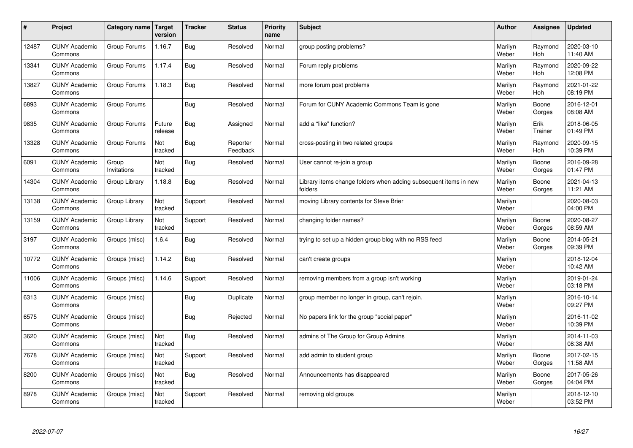| $\pmb{\#}$ | Project                         | Category name        | <b>Target</b><br>version | <b>Tracker</b> | <b>Status</b>        | <b>Priority</b><br>name | <b>Subject</b>                                                              | <b>Author</b>    | Assignee        | <b>Updated</b>         |
|------------|---------------------------------|----------------------|--------------------------|----------------|----------------------|-------------------------|-----------------------------------------------------------------------------|------------------|-----------------|------------------------|
| 12487      | <b>CUNY Academic</b><br>Commons | Group Forums         | 1.16.7                   | <b>Bug</b>     | Resolved             | Normal                  | group posting problems?                                                     | Marilyn<br>Weber | Raymond<br>Hoh  | 2020-03-10<br>11:40 AM |
| 13341      | <b>CUNY Academic</b><br>Commons | Group Forums         | 1.17.4                   | <b>Bug</b>     | Resolved             | Normal                  | Forum reply problems                                                        | Marilyn<br>Weber | Raymond<br>Hoh  | 2020-09-22<br>12:08 PM |
| 13827      | <b>CUNY Academic</b><br>Commons | Group Forums         | 1.18.3                   | <b>Bug</b>     | Resolved             | Normal                  | more forum post problems                                                    | Marilyn<br>Weber | Raymond<br>Hoh  | 2021-01-22<br>08:19 PM |
| 6893       | <b>CUNY Academic</b><br>Commons | Group Forums         |                          | Bug            | Resolved             | Normal                  | Forum for CUNY Academic Commons Team is gone                                | Marilyn<br>Weber | Boone<br>Gorges | 2016-12-01<br>08:08 AM |
| 9835       | <b>CUNY Academic</b><br>Commons | Group Forums         | Future<br>release        | Bug            | Assigned             | Normal                  | add a "like" function?                                                      | Marilyn<br>Weber | Erik<br>Trainer | 2018-06-05<br>01:49 PM |
| 13328      | <b>CUNY Academic</b><br>Commons | Group Forums         | Not<br>tracked           | <b>Bug</b>     | Reporter<br>Feedback | Normal                  | cross-posting in two related groups                                         | Marilyn<br>Weber | Raymond<br>Hoh  | 2020-09-15<br>10:39 PM |
| 6091       | <b>CUNY Academic</b><br>Commons | Group<br>Invitations | Not<br>tracked           | <b>Bug</b>     | Resolved             | Normal                  | User cannot re-join a group                                                 | Marilyn<br>Weber | Boone<br>Gorges | 2016-09-28<br>01:47 PM |
| 14304      | <b>CUNY Academic</b><br>Commons | Group Library        | 1.18.8                   | Bug            | Resolved             | Normal                  | Library items change folders when adding subsequent items in new<br>folders | Marilyn<br>Weber | Boone<br>Gorges | 2021-04-13<br>11:21 AM |
| 13138      | <b>CUNY Academic</b><br>Commons | Group Library        | Not<br>tracked           | Support        | Resolved             | Normal                  | moving Library contents for Steve Brier                                     | Marilyn<br>Weber |                 | 2020-08-03<br>04:00 PM |
| 13159      | <b>CUNY Academic</b><br>Commons | Group Library        | Not<br>tracked           | Support        | Resolved             | Normal                  | changing folder names?                                                      | Marilyn<br>Weber | Boone<br>Gorges | 2020-08-27<br>08:59 AM |
| 3197       | <b>CUNY Academic</b><br>Commons | Groups (misc)        | 1.6.4                    | <b>Bug</b>     | Resolved             | Normal                  | trying to set up a hidden group blog with no RSS feed                       | Marilyn<br>Weber | Boone<br>Gorges | 2014-05-21<br>09:39 PM |
| 10772      | <b>CUNY Academic</b><br>Commons | Groups (misc)        | 1.14.2                   | Bug            | Resolved             | Normal                  | can't create groups                                                         | Marilyn<br>Weber |                 | 2018-12-04<br>10:42 AM |
| 11006      | <b>CUNY Academic</b><br>Commons | Groups (misc)        | 1.14.6                   | Support        | Resolved             | Normal                  | removing members from a group isn't working                                 | Marilyn<br>Weber |                 | 2019-01-24<br>03:18 PM |
| 6313       | <b>CUNY Academic</b><br>Commons | Groups (misc)        |                          | <b>Bug</b>     | Duplicate            | Normal                  | group member no longer in group, can't rejoin.                              | Marilyn<br>Weber |                 | 2016-10-14<br>09:27 PM |
| 6575       | <b>CUNY Academic</b><br>Commons | Groups (misc)        |                          | Bug            | Rejected             | Normal                  | No papers link for the group "social paper"                                 | Marilyn<br>Weber |                 | 2016-11-02<br>10:39 PM |
| 3620       | <b>CUNY Academic</b><br>Commons | Groups (misc)        | Not<br>tracked           | <b>Bug</b>     | Resolved             | Normal                  | admins of The Group for Group Admins                                        | Marilyn<br>Weber |                 | 2014-11-03<br>08:38 AM |
| 7678       | <b>CUNY Academic</b><br>Commons | Groups (misc)        | Not<br>tracked           | Support        | Resolved             | Normal                  | add admin to student group                                                  | Marilyn<br>Weber | Boone<br>Gorges | 2017-02-15<br>11:58 AM |
| 8200       | <b>CUNY Academic</b><br>Commons | Groups (misc)        | Not<br>tracked           | <b>Bug</b>     | Resolved             | Normal                  | Announcements has disappeared                                               | Marilyn<br>Weber | Boone<br>Gorges | 2017-05-26<br>04:04 PM |
| 8978       | <b>CUNY Academic</b><br>Commons | Groups (misc)        | Not<br>tracked           | Support        | Resolved             | Normal                  | removing old groups                                                         | Marilyn<br>Weber |                 | 2018-12-10<br>03:52 PM |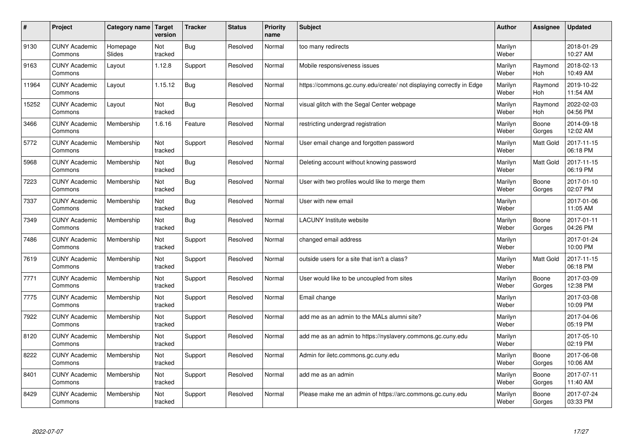| #     | Project                         | Category name      | <b>Target</b><br>version | <b>Tracker</b> | <b>Status</b> | <b>Priority</b><br>name | <b>Subject</b>                                                       | <b>Author</b>    | <b>Assignee</b> | <b>Updated</b>         |
|-------|---------------------------------|--------------------|--------------------------|----------------|---------------|-------------------------|----------------------------------------------------------------------|------------------|-----------------|------------------------|
| 9130  | <b>CUNY Academic</b><br>Commons | Homepage<br>Slides | Not<br>tracked           | <b>Bug</b>     | Resolved      | Normal                  | too many redirects                                                   | Marilyn<br>Weber |                 | 2018-01-29<br>10:27 AM |
| 9163  | <b>CUNY Academic</b><br>Commons | Layout             | 1.12.8                   | Support        | Resolved      | Normal                  | Mobile responsiveness issues                                         | Marilyn<br>Weber | Raymond<br>Hoh  | 2018-02-13<br>10:49 AM |
| 11964 | <b>CUNY Academic</b><br>Commons | Layout             | 1.15.12                  | <b>Bug</b>     | Resolved      | Normal                  | https://commons.gc.cuny.edu/create/ not displaying correctly in Edge | Marilyn<br>Weber | Raymond<br>Hoh  | 2019-10-22<br>11:54 AM |
| 15252 | <b>CUNY Academic</b><br>Commons | Layout             | Not<br>tracked           | <b>Bug</b>     | Resolved      | Normal                  | visual glitch with the Segal Center webpage                          | Marilyn<br>Weber | Raymond<br>Hoh  | 2022-02-03<br>04:56 PM |
| 3466  | <b>CUNY Academic</b><br>Commons | Membership         | 1.6.16                   | Feature        | Resolved      | Normal                  | restricting undergrad registration                                   | Marilyn<br>Weber | Boone<br>Gorges | 2014-09-18<br>12:02 AM |
| 5772  | <b>CUNY Academic</b><br>Commons | Membership         | Not<br>tracked           | Support        | Resolved      | Normal                  | User email change and forgotten password                             | Marilyn<br>Weber | Matt Gold       | 2017-11-15<br>06:18 PM |
| 5968  | <b>CUNY Academic</b><br>Commons | Membership         | Not<br>tracked           | <b>Bug</b>     | Resolved      | Normal                  | Deleting account without knowing password                            | Marilyn<br>Weber | Matt Gold       | 2017-11-15<br>06:19 PM |
| 7223  | <b>CUNY Academic</b><br>Commons | Membership         | Not<br>tracked           | <b>Bug</b>     | Resolved      | Normal                  | User with two profiles would like to merge them                      | Marilyn<br>Weber | Boone<br>Gorges | 2017-01-10<br>02:07 PM |
| 7337  | <b>CUNY Academic</b><br>Commons | Membership         | Not<br>tracked           | Bug            | Resolved      | Normal                  | User with new email                                                  | Marilyn<br>Weber |                 | 2017-01-06<br>11:05 AM |
| 7349  | <b>CUNY Academic</b><br>Commons | Membership         | Not<br>tracked           | <b>Bug</b>     | Resolved      | Normal                  | LACUNY Institute website                                             | Marilyn<br>Weber | Boone<br>Gorges | 2017-01-11<br>04:26 PM |
| 7486  | <b>CUNY Academic</b><br>Commons | Membership         | Not<br>tracked           | Support        | Resolved      | Normal                  | changed email address                                                | Marilyn<br>Weber |                 | 2017-01-24<br>10:00 PM |
| 7619  | <b>CUNY Academic</b><br>Commons | Membership         | Not<br>tracked           | Support        | Resolved      | Normal                  | outside users for a site that isn't a class?                         | Marilyn<br>Weber | Matt Gold       | 2017-11-15<br>06:18 PM |
| 7771  | <b>CUNY Academic</b><br>Commons | Membership         | Not<br>tracked           | Support        | Resolved      | Normal                  | User would like to be uncoupled from sites                           | Marilyn<br>Weber | Boone<br>Gorges | 2017-03-09<br>12:38 PM |
| 7775  | <b>CUNY Academic</b><br>Commons | Membership         | Not<br>tracked           | Support        | Resolved      | Normal                  | Email change                                                         | Marilyn<br>Weber |                 | 2017-03-08<br>10:09 PM |
| 7922  | <b>CUNY Academic</b><br>Commons | Membership         | Not<br>tracked           | Support        | Resolved      | Normal                  | add me as an admin to the MALs alumni site?                          | Marilyn<br>Weber |                 | 2017-04-06<br>05:19 PM |
| 8120  | <b>CUNY Academic</b><br>Commons | Membership         | Not<br>tracked           | Support        | Resolved      | Normal                  | add me as an admin to https://nyslavery.commons.gc.cuny.edu          | Marilyn<br>Weber |                 | 2017-05-10<br>02:19 PM |
| 8222  | <b>CUNY Academic</b><br>Commons | Membership         | Not<br>tracked           | Support        | Resolved      | Normal                  | Admin for iletc.commons.gc.cuny.edu                                  | Marilyn<br>Weber | Boone<br>Gorges | 2017-06-08<br>10:06 AM |
| 8401  | <b>CUNY Academic</b><br>Commons | Membership         | Not<br>tracked           | Support        | Resolved      | Normal                  | add me as an admin                                                   | Marilyn<br>Weber | Boone<br>Gorges | 2017-07-11<br>11:40 AM |
| 8429  | <b>CUNY Academic</b><br>Commons | Membership         | Not<br>tracked           | Support        | Resolved      | Normal                  | Please make me an admin of https://arc.commons.gc.cuny.edu           | Marilyn<br>Weber | Boone<br>Gorges | 2017-07-24<br>03:33 PM |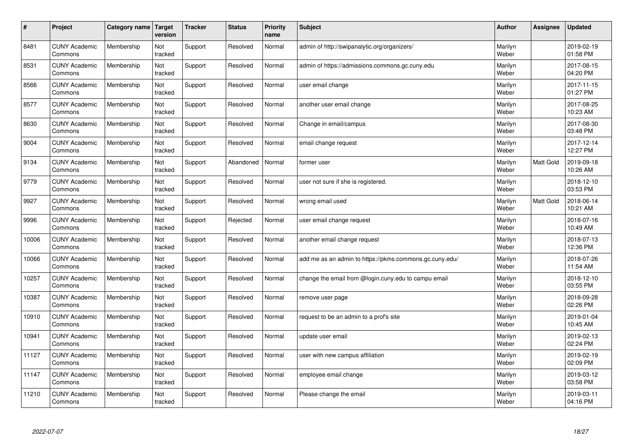| $\sharp$ | Project                         | Category name   Target | version        | <b>Tracker</b> | <b>Status</b> | <b>Priority</b><br>name | <b>Subject</b>                                          | <b>Author</b>    | Assignee         | <b>Updated</b>         |
|----------|---------------------------------|------------------------|----------------|----------------|---------------|-------------------------|---------------------------------------------------------|------------------|------------------|------------------------|
| 8481     | <b>CUNY Academic</b><br>Commons | Membership             | Not<br>tracked | Support        | Resolved      | Normal                  | admin of http://swipanalytic.org/organizers/            | Marilyn<br>Weber |                  | 2019-02-19<br>01:58 PM |
| 8531     | <b>CUNY Academic</b><br>Commons | Membership             | Not<br>tracked | Support        | Resolved      | Normal                  | admin of https://admissions.commons.gc.cuny.edu         | Marilyn<br>Weber |                  | 2017-08-15<br>04:20 PM |
| 8566     | <b>CUNY Academic</b><br>Commons | Membership             | Not<br>tracked | Support        | Resolved      | Normal                  | user email change                                       | Marilyn<br>Weber |                  | 2017-11-15<br>01:27 PM |
| 8577     | <b>CUNY Academic</b><br>Commons | Membership             | Not<br>tracked | Support        | Resolved      | Normal                  | another user email change                               | Marilyn<br>Weber |                  | 2017-08-25<br>10:23 AM |
| 8630     | <b>CUNY Academic</b><br>Commons | Membership             | Not<br>tracked | Support        | Resolved      | Normal                  | Change in email/campus                                  | Marilyn<br>Weber |                  | 2017-08-30<br>03:48 PM |
| 9004     | <b>CUNY Academic</b><br>Commons | Membership             | Not<br>tracked | Support        | Resolved      | Normal                  | email change request                                    | Marilyn<br>Weber |                  | 2017-12-14<br>12:27 PM |
| 9134     | <b>CUNY Academic</b><br>Commons | Membership             | Not<br>tracked | Support        | Abandoned     | Normal                  | former user                                             | Marilyn<br>Weber | <b>Matt Gold</b> | 2019-09-18<br>10:26 AM |
| 9779     | <b>CUNY Academic</b><br>Commons | Membership             | Not<br>tracked | Support        | Resolved      | Normal                  | user not sure if she is registered.                     | Marilyn<br>Weber |                  | 2018-12-10<br>03:53 PM |
| 9927     | <b>CUNY Academic</b><br>Commons | Membership             | Not<br>tracked | Support        | Resolved      | Normal                  | wrong email used                                        | Marilyn<br>Weber | <b>Matt Gold</b> | 2018-06-14<br>10:21 AM |
| 9996     | <b>CUNY Academic</b><br>Commons | Membership             | Not<br>tracked | Support        | Rejected      | Normal                  | user email change request                               | Marilyn<br>Weber |                  | 2018-07-16<br>10:49 AM |
| 10006    | <b>CUNY Academic</b><br>Commons | Membership             | Not<br>tracked | Support        | Resolved      | Normal                  | another email change request                            | Marilyn<br>Weber |                  | 2018-07-13<br>12:36 PM |
| 10066    | <b>CUNY Academic</b><br>Commons | Membership             | Not<br>tracked | Support        | Resolved      | Normal                  | add me as an admin to https://pkms.commons.gc.cuny.edu/ | Marilyn<br>Weber |                  | 2018-07-26<br>11:54 AM |
| 10257    | <b>CUNY Academic</b><br>Commons | Membership             | Not<br>tracked | Support        | Resolved      | Normal                  | change the email from @login.cuny.edu to campu email    | Marilyn<br>Weber |                  | 2018-12-10<br>03:55 PM |
| 10387    | <b>CUNY Academic</b><br>Commons | Membership             | Not<br>tracked | Support        | Resolved      | Normal                  | remove user page                                        | Marilyn<br>Weber |                  | 2018-09-28<br>02:26 PM |
| 10910    | <b>CUNY Academic</b><br>Commons | Membership             | Not<br>tracked | Support        | Resolved      | Normal                  | request to be an admin to a prof's site                 | Marilyn<br>Weber |                  | 2019-01-04<br>10:45 AM |
| 10941    | <b>CUNY Academic</b><br>Commons | Membership             | Not<br>tracked | Support        | Resolved      | Normal                  | update user email                                       | Marilyn<br>Weber |                  | 2019-02-13<br>02:24 PM |
| 11127    | <b>CUNY Academic</b><br>Commons | Membership             | Not<br>tracked | Support        | Resolved      | Normal                  | user with new campus affiliation                        | Marilyn<br>Weber |                  | 2019-02-19<br>02:09 PM |
| 11147    | <b>CUNY Academic</b><br>Commons | Membership             | Not<br>tracked | Support        | Resolved      | Normal                  | employee email change                                   | Marilyn<br>Weber |                  | 2019-03-12<br>03:58 PM |
| 11210    | <b>CUNY Academic</b><br>Commons | Membership             | Not<br>tracked | Support        | Resolved      | Normal                  | Please change the email                                 | Marilyn<br>Weber |                  | 2019-03-11<br>04:16 PM |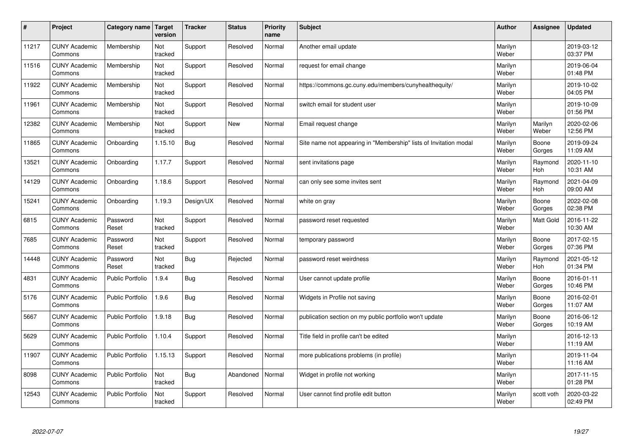| $\sharp$ | Project                         | <b>Category name</b>    | Target<br>version | <b>Tracker</b> | <b>Status</b> | <b>Priority</b><br>name | <b>Subject</b>                                                    | <b>Author</b>    | Assignee         | <b>Updated</b>         |
|----------|---------------------------------|-------------------------|-------------------|----------------|---------------|-------------------------|-------------------------------------------------------------------|------------------|------------------|------------------------|
| 11217    | <b>CUNY Academic</b><br>Commons | Membership              | Not<br>tracked    | Support        | Resolved      | Normal                  | Another email update                                              | Marilyn<br>Weber |                  | 2019-03-12<br>03:37 PM |
| 11516    | <b>CUNY Academic</b><br>Commons | Membership              | Not<br>tracked    | Support        | Resolved      | Normal                  | request for email change                                          | Marilyn<br>Weber |                  | 2019-06-04<br>01:48 PM |
| 11922    | <b>CUNY Academic</b><br>Commons | Membership              | Not<br>tracked    | Support        | Resolved      | Normal                  | https://commons.gc.cuny.edu/members/cunyhealthequity/             | Marilyn<br>Weber |                  | 2019-10-02<br>04:05 PM |
| 11961    | <b>CUNY Academic</b><br>Commons | Membership              | Not<br>tracked    | Support        | Resolved      | Normal                  | switch email for student user                                     | Marilyn<br>Weber |                  | 2019-10-09<br>01:56 PM |
| 12382    | <b>CUNY Academic</b><br>Commons | Membership              | Not<br>tracked    | Support        | <b>New</b>    | Normal                  | Email request change                                              | Marilyn<br>Weber | Marilyn<br>Weber | 2020-02-06<br>12:56 PM |
| 11865    | <b>CUNY Academic</b><br>Commons | Onboarding              | 1.15.10           | <b>Bug</b>     | Resolved      | Normal                  | Site name not appearing in "Membership" lists of Invitation modal | Marilyn<br>Weber | Boone<br>Gorges  | 2019-09-24<br>11:09 AM |
| 13521    | <b>CUNY Academic</b><br>Commons | Onboarding              | 1.17.7            | Support        | Resolved      | Normal                  | sent invitations page                                             | Marilyn<br>Weber | Raymond<br>Hoh   | 2020-11-10<br>10:31 AM |
| 14129    | <b>CUNY Academic</b><br>Commons | Onboarding              | 1.18.6            | Support        | Resolved      | Normal                  | can only see some invites sent                                    | Marilyn<br>Weber | Raymond<br>Hoh   | 2021-04-09<br>09:00 AM |
| 15241    | <b>CUNY Academic</b><br>Commons | Onboarding              | 1.19.3            | Design/UX      | Resolved      | Normal                  | white on gray                                                     | Marilyn<br>Weber | Boone<br>Gorges  | 2022-02-08<br>02:38 PM |
| 6815     | <b>CUNY Academic</b><br>Commons | Password<br>Reset       | Not<br>tracked    | Support        | Resolved      | Normal                  | password reset requested                                          | Marilyn<br>Weber | <b>Matt Gold</b> | 2016-11-22<br>10:30 AM |
| 7685     | <b>CUNY Academic</b><br>Commons | Password<br>Reset       | Not<br>tracked    | Support        | Resolved      | Normal                  | temporary password                                                | Marilyn<br>Weber | Boone<br>Gorges  | 2017-02-15<br>07:36 PM |
| 14448    | <b>CUNY Academic</b><br>Commons | Password<br>Reset       | Not<br>tracked    | <b>Bug</b>     | Rejected      | Normal                  | password reset weirdness                                          | Marilyn<br>Weber | Raymond<br>Hoh   | 2021-05-12<br>01:34 PM |
| 4831     | <b>CUNY Academic</b><br>Commons | <b>Public Portfolio</b> | 1.9.4             | Bug            | Resolved      | Normal                  | User cannot update profile                                        | Marilyn<br>Weber | Boone<br>Gorges  | 2016-01-11<br>10:46 PM |
| 5176     | <b>CUNY Academic</b><br>Commons | Public Portfolio        | 1.9.6             | Bug            | Resolved      | Normal                  | Widgets in Profile not saving                                     | Marilyn<br>Weber | Boone<br>Gorges  | 2016-02-01<br>11:07 AM |
| 5667     | <b>CUNY Academic</b><br>Commons | <b>Public Portfolio</b> | 1.9.18            | <b>Bug</b>     | Resolved      | Normal                  | publication section on my public portfolio won't update           | Marilyn<br>Weber | Boone<br>Gorges  | 2016-06-12<br>10:19 AM |
| 5629     | <b>CUNY Academic</b><br>Commons | <b>Public Portfolio</b> | 1.10.4            | Support        | Resolved      | Normal                  | Title field in profile can't be edited                            | Marilyn<br>Weber |                  | 2016-12-13<br>11:19 AM |
| 11907    | <b>CUNY Academic</b><br>Commons | Public Portfolio        | 1.15.13           | Support        | Resolved      | Normal                  | more publications problems (in profile)                           | Marilyn<br>Weber |                  | 2019-11-04<br>11:16 AM |
| 8098     | <b>CUNY Academic</b><br>Commons | <b>Public Portfolio</b> | Not<br>tracked    | <b>Bug</b>     | Abandoned     | Normal                  | Widget in profile not working                                     | Marilyn<br>Weber |                  | 2017-11-15<br>01:28 PM |
| 12543    | <b>CUNY Academic</b><br>Commons | <b>Public Portfolio</b> | Not<br>tracked    | Support        | Resolved      | Normal                  | User cannot find profile edit button                              | Marilyn<br>Weber | scott voth       | 2020-03-22<br>02:49 PM |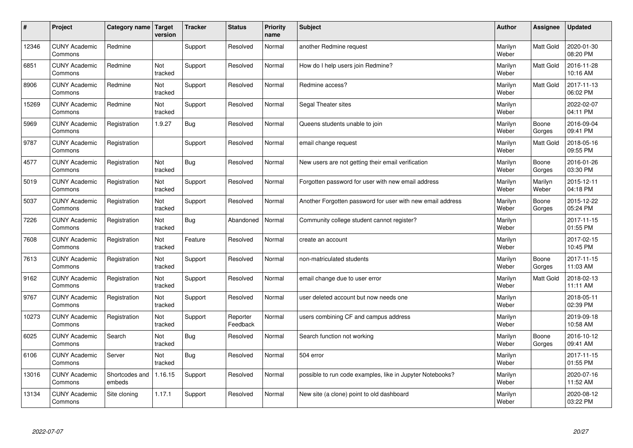| #     | Project                         | Category name   Target   | version        | <b>Tracker</b> | <b>Status</b>        | <b>Priority</b><br>name | <b>Subject</b>                                             | <b>Author</b>    | Assignee         | <b>Updated</b>         |
|-------|---------------------------------|--------------------------|----------------|----------------|----------------------|-------------------------|------------------------------------------------------------|------------------|------------------|------------------------|
| 12346 | <b>CUNY Academic</b><br>Commons | Redmine                  |                | Support        | Resolved             | Normal                  | another Redmine request                                    | Marilyn<br>Weber | <b>Matt Gold</b> | 2020-01-30<br>08:20 PM |
| 6851  | <b>CUNY Academic</b><br>Commons | Redmine                  | Not<br>tracked | Support        | Resolved             | Normal                  | How do I help users join Redmine?                          | Marilyn<br>Weber | <b>Matt Gold</b> | 2016-11-28<br>10:16 AM |
| 8906  | <b>CUNY Academic</b><br>Commons | Redmine                  | Not<br>tracked | Support        | Resolved             | Normal                  | Redmine access?                                            | Marilyn<br>Weber | Matt Gold        | 2017-11-13<br>06:02 PM |
| 15269 | <b>CUNY Academic</b><br>Commons | Redmine                  | Not<br>tracked | Support        | Resolved             | Normal                  | Segal Theater sites                                        | Marilyn<br>Weber |                  | 2022-02-07<br>04:11 PM |
| 5969  | <b>CUNY Academic</b><br>Commons | Registration             | 1.9.27         | Bug            | Resolved             | Normal                  | Queens students unable to join                             | Marilyn<br>Weber | Boone<br>Gorges  | 2016-09-04<br>09:41 PM |
| 9787  | <b>CUNY Academic</b><br>Commons | Registration             |                | Support        | Resolved             | Normal                  | email change request                                       | Marilyn<br>Weber | Matt Gold        | 2018-05-16<br>09:55 PM |
| 4577  | <b>CUNY Academic</b><br>Commons | Registration             | Not<br>tracked | Bug            | Resolved             | Normal                  | New users are not getting their email verification         | Marilyn<br>Weber | Boone<br>Gorges  | 2016-01-26<br>03:30 PM |
| 5019  | <b>CUNY Academic</b><br>Commons | Registration             | Not<br>tracked | Support        | Resolved             | Normal                  | Forgotten password for user with new email address         | Marilyn<br>Weber | Marilyn<br>Weber | 2015-12-11<br>04:18 PM |
| 5037  | <b>CUNY Academic</b><br>Commons | Registration             | Not<br>tracked | Support        | Resolved             | Normal                  | Another Forgotten password for user with new email address | Marilyn<br>Weber | Boone<br>Gorges  | 2015-12-22<br>05:24 PM |
| 7226  | <b>CUNY Academic</b><br>Commons | Registration             | Not<br>tracked | Bug            | Abandoned            | Normal                  | Community college student cannot register?                 | Marilyn<br>Weber |                  | 2017-11-15<br>01:55 PM |
| 7608  | <b>CUNY Academic</b><br>Commons | Registration             | Not<br>tracked | Feature        | Resolved             | Normal                  | create an account                                          | Marilyn<br>Weber |                  | 2017-02-15<br>10:45 PM |
| 7613  | <b>CUNY Academic</b><br>Commons | Registration             | Not<br>tracked | Support        | Resolved             | Normal                  | non-matriculated students                                  | Marilyn<br>Weber | Boone<br>Gorges  | 2017-11-15<br>11:03 AM |
| 9162  | <b>CUNY Academic</b><br>Commons | Registration             | Not<br>tracked | Support        | Resolved             | Normal                  | email change due to user error                             | Marilyn<br>Weber | <b>Matt Gold</b> | 2018-02-13<br>11:11 AM |
| 9767  | <b>CUNY Academic</b><br>Commons | Registration             | Not<br>tracked | Support        | Resolved             | Normal                  | user deleted account but now needs one                     | Marilyn<br>Weber |                  | 2018-05-11<br>02:39 PM |
| 10273 | <b>CUNY Academic</b><br>Commons | Registration             | Not<br>tracked | Support        | Reporter<br>Feedback | Normal                  | users combining CF and campus address                      | Marilyn<br>Weber |                  | 2019-09-18<br>10:58 AM |
| 6025  | <b>CUNY Academic</b><br>Commons | Search                   | Not<br>tracked | <b>Bug</b>     | Resolved             | Normal                  | Search function not working                                | Marilyn<br>Weber | Boone<br>Gorges  | 2016-10-12<br>09:41 AM |
| 6106  | <b>CUNY Academic</b><br>Commons | Server                   | Not<br>tracked | <b>Bug</b>     | Resolved             | Normal                  | 504 error                                                  | Marilyn<br>Weber |                  | 2017-11-15<br>01:55 PM |
| 13016 | <b>CUNY Academic</b><br>Commons | Shortcodes and<br>embeds | 1.16.15        | Support        | Resolved             | Normal                  | possible to run code examples, like in Jupyter Notebooks?  | Marilyn<br>Weber |                  | 2020-07-16<br>11:52 AM |
| 13134 | <b>CUNY Academic</b><br>Commons | Site cloning             | 1.17.1         | Support        | Resolved             | Normal                  | New site (a clone) point to old dashboard                  | Marilyn<br>Weber |                  | 2020-08-12<br>03:22 PM |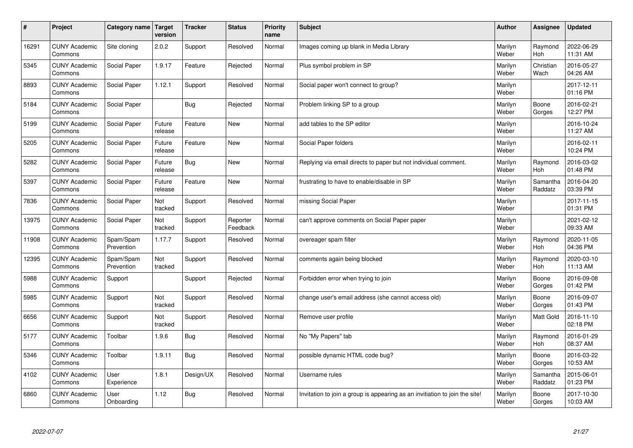| $\pmb{\#}$ | Project                         | Category name           | Target<br>version | <b>Tracker</b> | <b>Status</b>        | <b>Priority</b><br>name | <b>Subject</b>                                                              | <b>Author</b>    | Assignee              | <b>Updated</b>         |
|------------|---------------------------------|-------------------------|-------------------|----------------|----------------------|-------------------------|-----------------------------------------------------------------------------|------------------|-----------------------|------------------------|
| 16291      | <b>CUNY Academic</b><br>Commons | Site cloning            | 2.0.2             | Support        | Resolved             | Normal                  | Images coming up blank in Media Library                                     | Marilyn<br>Weber | Raymond<br><b>Hoh</b> | 2022-06-29<br>11:31 AM |
| 5345       | <b>CUNY Academic</b><br>Commons | Social Paper            | 1.9.17            | Feature        | Rejected             | Normal                  | Plus symbol problem in SP                                                   | Marilyn<br>Weber | Christian<br>Wach     | 2016-05-27<br>04:26 AM |
| 8893       | <b>CUNY Academic</b><br>Commons | Social Paper            | 1.12.1            | Support        | Resolved             | Normal                  | Social paper won't connect to group?                                        | Marilyn<br>Weber |                       | 2017-12-11<br>01:16 PM |
| 5184       | <b>CUNY Academic</b><br>Commons | Social Paper            |                   | <b>Bug</b>     | Rejected             | Normal                  | Problem linking SP to a group                                               | Marilyn<br>Weber | Boone<br>Gorges       | 2016-02-21<br>12:27 PM |
| 5199       | <b>CUNY Academic</b><br>Commons | Social Paper            | Future<br>release | Feature        | New                  | Normal                  | add tables to the SP editor                                                 | Marilyn<br>Weber |                       | 2016-10-24<br>11:27 AM |
| 5205       | <b>CUNY Academic</b><br>Commons | Social Paper            | Future<br>release | Feature        | <b>New</b>           | Normal                  | Social Paper folders                                                        | Marilyn<br>Weber |                       | 2016-02-11<br>10:24 PM |
| 5282       | <b>CUNY Academic</b><br>Commons | Social Paper            | Future<br>release | Bug            | New                  | Normal                  | Replying via email directs to paper but not individual comment.             | Marilyn<br>Weber | Raymond<br>Hoh        | 2016-03-02<br>01:48 PM |
| 5397       | <b>CUNY Academic</b><br>Commons | Social Paper            | Future<br>release | Feature        | <b>New</b>           | Normal                  | frustrating to have to enable/disable in SP                                 | Marilyn<br>Weber | Samantha<br>Raddatz   | 2016-04-20<br>03:39 PM |
| 7836       | <b>CUNY Academic</b><br>Commons | Social Paper            | Not<br>tracked    | Support        | Resolved             | Normal                  | missing Social Paper                                                        | Marilyn<br>Weber |                       | 2017-11-15<br>01:31 PM |
| 13975      | <b>CUNY Academic</b><br>Commons | Social Paper            | Not<br>tracked    | Support        | Reporter<br>Feedback | Normal                  | can't approve comments on Social Paper paper                                | Marilyn<br>Weber |                       | 2021-02-12<br>09:33 AM |
| 11908      | <b>CUNY Academic</b><br>Commons | Spam/Spam<br>Prevention | 1.17.7            | Support        | Resolved             | Normal                  | overeager spam filter                                                       | Marilyn<br>Weber | Raymond<br>Hoh        | 2020-11-05<br>04:36 PM |
| 12395      | <b>CUNY Academic</b><br>Commons | Spam/Spam<br>Prevention | Not<br>tracked    | Support        | Resolved             | Normal                  | comments again being blocked                                                | Marilyn<br>Weber | Raymond<br>Hoh        | 2020-03-10<br>11:13 AM |
| 5988       | <b>CUNY Academic</b><br>Commons | Support                 |                   | Support        | Rejected             | Normal                  | Forbidden error when trying to join                                         | Marilyn<br>Weber | Boone<br>Gorges       | 2016-09-08<br>01:42 PM |
| 5985       | <b>CUNY Academic</b><br>Commons | Support                 | Not<br>tracked    | Support        | Resolved             | Normal                  | change user's email address (she cannot access old)                         | Marilyn<br>Weber | Boone<br>Gorges       | 2016-09-07<br>01:43 PM |
| 6656       | <b>CUNY Academic</b><br>Commons | Support                 | Not<br>tracked    | Support        | Resolved             | Normal                  | Remove user profile                                                         | Marilyn<br>Weber | Matt Gold             | 2016-11-10<br>02:18 PM |
| 5177       | <b>CUNY Academic</b><br>Commons | Toolbar                 | 1.9.6             | Bug            | Resolved             | Normal                  | No "My Papers" tab                                                          | Marilyn<br>Weber | Raymond<br>Hoh        | 2016-01-29<br>08:37 AM |
| 5346       | <b>CUNY Academic</b><br>Commons | Toolbar                 | 1.9.11            | <b>Bug</b>     | Resolved             | Normal                  | possible dynamic HTML code bug?                                             | Marilyn<br>Weber | Boone<br>Gorges       | 2016-03-22<br>10:53 AM |
| 4102       | <b>CUNY Academic</b><br>Commons | User<br>Experience      | 1.8.1             | Design/UX      | Resolved             | Normal                  | Username rules                                                              | Marilyn<br>Weber | Samantha<br>Raddatz   | 2015-06-01<br>01:23 PM |
| 6860       | <b>CUNY Academic</b><br>Commons | User<br>Onboarding      | 1.12              | Bug            | Resolved             | Normal                  | Invitation to join a group is appearing as an invitiation to join the site! | Marilyn<br>Weber | Boone<br>Gorges       | 2017-10-30<br>10:03 AM |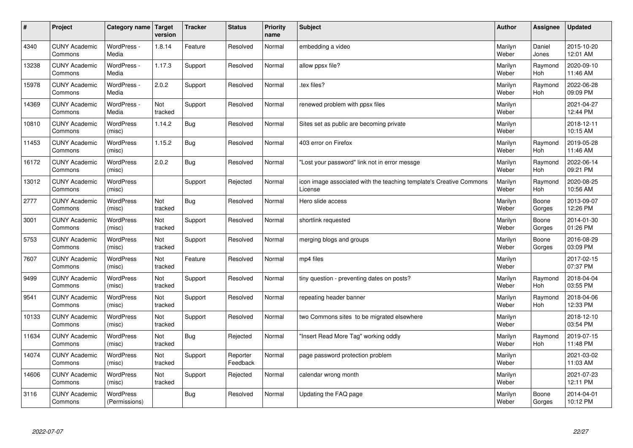| $\vert$ # | Project                         | Category name                     | <b>Target</b><br>version | <b>Tracker</b> | <b>Status</b>        | <b>Priority</b><br>name | <b>Subject</b>                                                                 | <b>Author</b>    | <b>Assignee</b>       | <b>Updated</b>         |
|-----------|---------------------------------|-----------------------------------|--------------------------|----------------|----------------------|-------------------------|--------------------------------------------------------------------------------|------------------|-----------------------|------------------------|
| 4340      | <b>CUNY Academic</b><br>Commons | WordPress -<br>Media              | 1.8.14                   | Feature        | Resolved             | Normal                  | embedding a video                                                              | Marilyn<br>Weber | Daniel<br>Jones       | 2015-10-20<br>12:01 AM |
| 13238     | <b>CUNY Academic</b><br>Commons | WordPress -<br>Media              | 1.17.3                   | Support        | Resolved             | Normal                  | allow ppsx file?                                                               | Marilyn<br>Weber | Raymond<br>Hoh        | 2020-09-10<br>11:46 AM |
| 15978     | <b>CUNY Academic</b><br>Commons | WordPress -<br>Media              | 2.0.2                    | Support        | Resolved             | Normal                  | tex files?                                                                     | Marilyn<br>Weber | Raymond<br>Hoh        | 2022-06-28<br>09:09 PM |
| 14369     | <b>CUNY Academic</b><br>Commons | WordPress -<br>Media              | Not<br>tracked           | Support        | Resolved             | Normal                  | renewed problem with ppsx files                                                | Marilyn<br>Weber |                       | 2021-04-27<br>12:44 PM |
| 10810     | <b>CUNY Academic</b><br>Commons | <b>WordPress</b><br>(misc)        | 1.14.2                   | <b>Bug</b>     | Resolved             | Normal                  | Sites set as public are becoming private                                       | Marilyn<br>Weber |                       | 2018-12-11<br>10:15 AM |
| 11453     | <b>CUNY Academic</b><br>Commons | WordPress<br>(misc)               | 1.15.2                   | <b>Bug</b>     | Resolved             | Normal                  | 403 error on Firefox                                                           | Marilyn<br>Weber | Raymond<br>Hoh        | 2019-05-28<br>11:46 AM |
| 16172     | <b>CUNY Academic</b><br>Commons | WordPress<br>(misc)               | 2.0.2                    | <b>Bug</b>     | Resolved             | Normal                  | 'Lost your password" link not in error messge                                  | Marilyn<br>Weber | Raymond<br>Hoh        | 2022-06-14<br>09:21 PM |
| 13012     | <b>CUNY Academic</b><br>Commons | WordPress<br>(misc)               |                          | Support        | Rejected             | Normal                  | icon image associated with the teaching template's Creative Commons<br>License | Marilyn<br>Weber | Raymond<br>Hoh        | 2020-08-25<br>10:56 AM |
| 2777      | <b>CUNY Academic</b><br>Commons | WordPress<br>(misc)               | Not<br>tracked           | Bug            | Resolved             | Normal                  | Hero slide access                                                              | Marilyn<br>Weber | Boone<br>Gorges       | 2013-09-07<br>12:26 PM |
| 3001      | <b>CUNY Academic</b><br>Commons | WordPress<br>(misc)               | Not<br>tracked           | Support        | Resolved             | Normal                  | shortlink requested                                                            | Marilyn<br>Weber | Boone<br>Gorges       | 2014-01-30<br>01:26 PM |
| 5753      | <b>CUNY Academic</b><br>Commons | WordPress<br>(misc)               | Not<br>tracked           | Support        | Resolved             | Normal                  | merging blogs and groups                                                       | Marilyn<br>Weber | Boone<br>Gorges       | 2016-08-29<br>03:09 PM |
| 7607      | <b>CUNY Academic</b><br>Commons | WordPress<br>(misc)               | Not<br>tracked           | Feature        | Resolved             | Normal                  | mp4 files                                                                      | Marilyn<br>Weber |                       | 2017-02-15<br>07:37 PM |
| 9499      | <b>CUNY Academic</b><br>Commons | WordPress<br>(misc)               | Not<br>tracked           | Support        | Resolved             | Normal                  | tiny question - preventing dates on posts?                                     | Marilyn<br>Weber | Raymond<br>Hoh        | 2018-04-04<br>03:55 PM |
| 9541      | <b>CUNY Academic</b><br>Commons | WordPress<br>(misc)               | Not<br>tracked           | Support        | Resolved             | Normal                  | repeating header banner                                                        | Marilyn<br>Weber | Raymond<br><b>Hoh</b> | 2018-04-06<br>12:33 PM |
| 10133     | <b>CUNY Academic</b><br>Commons | <b>WordPress</b><br>(misc)        | Not<br>tracked           | Support        | Resolved             | Normal                  | two Commons sites to be migrated elsewhere                                     | Marilyn<br>Weber |                       | 2018-12-10<br>03:54 PM |
| 11634     | <b>CUNY Academic</b><br>Commons | WordPress<br>(misc)               | Not<br>tracked           | <b>Bug</b>     | Rejected             | Normal                  | 'Insert Read More Tag" working oddly                                           | Marilyn<br>Weber | Raymond<br>Hoh        | 2019-07-15<br>11:48 PM |
| 14074     | <b>CUNY Academic</b><br>Commons | WordPress<br>(misc)               | Not<br>tracked           | Support        | Reporter<br>Feedback | Normal                  | page password protection problem                                               | Marilyn<br>Weber |                       | 2021-03-02<br>11:03 AM |
| 14606     | <b>CUNY Academic</b><br>Commons | WordPress<br>(misc)               | Not<br>tracked           | Support        | Rejected             | Normal                  | calendar wrong month                                                           | Marilyn<br>Weber |                       | 2021-07-23<br>12:11 PM |
| 3116      | <b>CUNY Academic</b><br>Commons | <b>WordPress</b><br>(Permissions) |                          | Bug            | Resolved             | Normal                  | Updating the FAQ page                                                          | Marilyn<br>Weber | Boone<br>Gorges       | 2014-04-01<br>10:12 PM |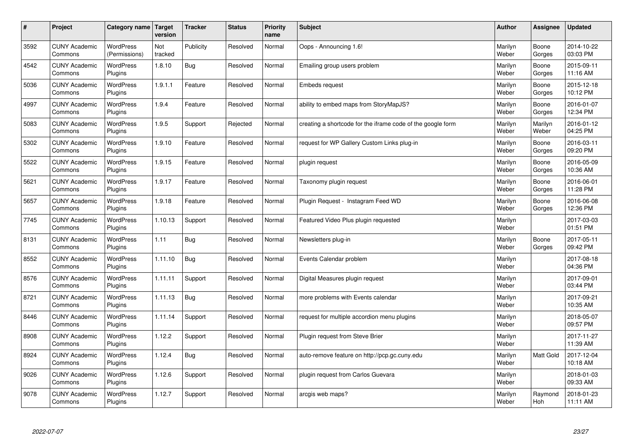| $\sharp$ | Project                         | <b>Category name</b>              | Target<br>version | <b>Tracker</b> | <b>Status</b> | <b>Priority</b><br>name | <b>Subject</b>                                              | <b>Author</b>    | Assignee         | <b>Updated</b>         |
|----------|---------------------------------|-----------------------------------|-------------------|----------------|---------------|-------------------------|-------------------------------------------------------------|------------------|------------------|------------------------|
| 3592     | <b>CUNY Academic</b><br>Commons | <b>WordPress</b><br>(Permissions) | Not<br>tracked    | Publicity      | Resolved      | Normal                  | Oops - Announcing 1.6!                                      | Marilyn<br>Weber | Boone<br>Gorges  | 2014-10-22<br>03:03 PM |
| 4542     | <b>CUNY Academic</b><br>Commons | <b>WordPress</b><br>Plugins       | 1.8.10            | Bug            | Resolved      | Normal                  | Emailing group users problem                                | Marilyn<br>Weber | Boone<br>Gorges  | 2015-09-11<br>11:16 AM |
| 5036     | <b>CUNY Academic</b><br>Commons | <b>WordPress</b><br>Plugins       | 1.9.1.1           | Feature        | Resolved      | Normal                  | <b>Embeds request</b>                                       | Marilyn<br>Weber | Boone<br>Gorges  | 2015-12-18<br>10:12 PM |
| 4997     | <b>CUNY Academic</b><br>Commons | <b>WordPress</b><br>Plugins       | 1.9.4             | Feature        | Resolved      | Normal                  | ability to embed maps from StoryMapJS?                      | Marilyn<br>Weber | Boone<br>Gorges  | 2016-01-07<br>12:34 PM |
| 5083     | <b>CUNY Academic</b><br>Commons | <b>WordPress</b><br>Plugins       | 1.9.5             | Support        | Rejected      | Normal                  | creating a shortcode for the iframe code of the google form | Marilyn<br>Weber | Marilyn<br>Weber | 2016-01-12<br>04:25 PM |
| 5302     | <b>CUNY Academic</b><br>Commons | WordPress<br>Plugins              | 1.9.10            | Feature        | Resolved      | Normal                  | request for WP Gallery Custom Links plug-in                 | Marilyn<br>Weber | Boone<br>Gorges  | 2016-03-11<br>09:20 PM |
| 5522     | <b>CUNY Academic</b><br>Commons | WordPress<br>Plugins              | 1.9.15            | Feature        | Resolved      | Normal                  | plugin request                                              | Marilyn<br>Weber | Boone<br>Gorges  | 2016-05-09<br>10:36 AM |
| 5621     | <b>CUNY Academic</b><br>Commons | WordPress<br>Plugins              | 1.9.17            | Feature        | Resolved      | Normal                  | Taxonomy plugin request                                     | Marilyn<br>Weber | Boone<br>Gorges  | 2016-06-01<br>11:28 PM |
| 5657     | <b>CUNY Academic</b><br>Commons | <b>WordPress</b><br>Plugins       | 1.9.18            | Feature        | Resolved      | Normal                  | Plugin Request - Instagram Feed WD                          | Marilyn<br>Weber | Boone<br>Gorges  | 2016-06-08<br>12:36 PM |
| 7745     | <b>CUNY Academic</b><br>Commons | WordPress<br>Plugins              | 1.10.13           | Support        | Resolved      | Normal                  | Featured Video Plus plugin requested                        | Marilyn<br>Weber |                  | 2017-03-03<br>01:51 PM |
| 8131     | <b>CUNY Academic</b><br>Commons | WordPress<br>Plugins              | 1.11              | <b>Bug</b>     | Resolved      | Normal                  | Newsletters plug-in                                         | Marilyn<br>Weber | Boone<br>Gorges  | 2017-05-11<br>09:42 PM |
| 8552     | <b>CUNY Academic</b><br>Commons | <b>WordPress</b><br>Plugins       | 1.11.10           | <b>Bug</b>     | Resolved      | Normal                  | Events Calendar problem                                     | Marilyn<br>Weber |                  | 2017-08-18<br>04:36 PM |
| 8576     | <b>CUNY Academic</b><br>Commons | <b>WordPress</b><br>Plugins       | 1.11.11           | Support        | Resolved      | Normal                  | Digital Measures plugin request                             | Marilyn<br>Weber |                  | 2017-09-01<br>03:44 PM |
| 8721     | <b>CUNY Academic</b><br>Commons | WordPress<br>Plugins              | 1.11.13           | <b>Bug</b>     | Resolved      | Normal                  | more problems with Events calendar                          | Marilyn<br>Weber |                  | 2017-09-21<br>10:35 AM |
| 8446     | <b>CUNY Academic</b><br>Commons | <b>WordPress</b><br>Plugins       | 1.11.14           | Support        | Resolved      | Normal                  | request for multiple accordion menu plugins                 | Marilyn<br>Weber |                  | 2018-05-07<br>09:57 PM |
| 8908     | <b>CUNY Academic</b><br>Commons | <b>WordPress</b><br>Plugins       | 1.12.2            | Support        | Resolved      | Normal                  | Plugin request from Steve Brier                             | Marilyn<br>Weber |                  | 2017-11-27<br>11:39 AM |
| 8924     | <b>CUNY Academic</b><br>Commons | WordPress<br>Plugins              | 1.12.4            | Bug            | Resolved      | Normal                  | auto-remove feature on http://pcp.gc.cuny.edu               | Marilyn<br>Weber | Matt Gold        | 2017-12-04<br>10:18 AM |
| 9026     | <b>CUNY Academic</b><br>Commons | WordPress<br>Plugins              | 1.12.6            | Support        | Resolved      | Normal                  | plugin request from Carlos Guevara                          | Marilyn<br>Weber |                  | 2018-01-03<br>09:33 AM |
| 9078     | <b>CUNY Academic</b><br>Commons | WordPress<br>Plugins              | 1.12.7            | Support        | Resolved      | Normal                  | arcgis web maps?                                            | Marilyn<br>Weber | Raymond<br>Hoh   | 2018-01-23<br>11:11 AM |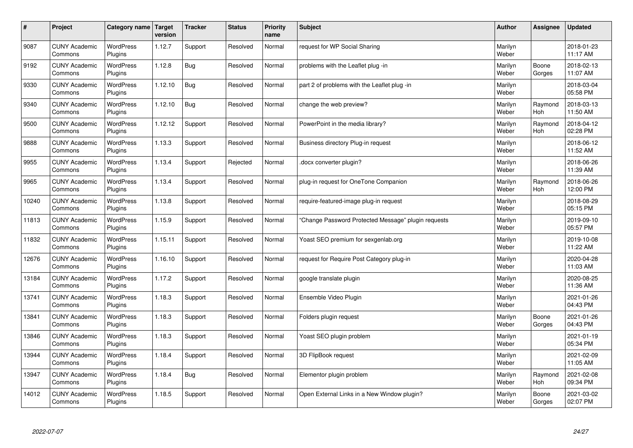| #     | Project                         | Category name               | Target<br>version | <b>Tracker</b> | <b>Status</b> | <b>Priority</b><br>name | <b>Subject</b>                                      | <b>Author</b>    | Assignee        | <b>Updated</b>         |
|-------|---------------------------------|-----------------------------|-------------------|----------------|---------------|-------------------------|-----------------------------------------------------|------------------|-----------------|------------------------|
| 9087  | <b>CUNY Academic</b><br>Commons | <b>WordPress</b><br>Plugins | 1.12.7            | Support        | Resolved      | Normal                  | request for WP Social Sharing                       | Marilyn<br>Weber |                 | 2018-01-23<br>11:17 AM |
| 9192  | <b>CUNY Academic</b><br>Commons | <b>WordPress</b><br>Plugins | 1.12.8            | Bug            | Resolved      | Normal                  | problems with the Leaflet plug -in                  | Marilyn<br>Weber | Boone<br>Gorges | 2018-02-13<br>11:07 AM |
| 9330  | <b>CUNY Academic</b><br>Commons | <b>WordPress</b><br>Plugins | 1.12.10           | Bug            | Resolved      | Normal                  | part 2 of problems with the Leaflet plug -in        | Marilyn<br>Weber |                 | 2018-03-04<br>05:58 PM |
| 9340  | <b>CUNY Academic</b><br>Commons | <b>WordPress</b><br>Plugins | 1.12.10           | <b>Bug</b>     | Resolved      | Normal                  | change the web preview?                             | Marilyn<br>Weber | Raymond<br>Hoh  | 2018-03-13<br>11:50 AM |
| 9500  | <b>CUNY Academic</b><br>Commons | <b>WordPress</b><br>Plugins | 1.12.12           | Support        | Resolved      | Normal                  | PowerPoint in the media library?                    | Marilyn<br>Weber | Raymond<br>Hoh  | 2018-04-12<br>02:28 PM |
| 9888  | <b>CUNY Academic</b><br>Commons | WordPress<br>Plugins        | 1.13.3            | Support        | Resolved      | Normal                  | Business directory Plug-in request                  | Marilyn<br>Weber |                 | 2018-06-12<br>11:52 AM |
| 9955  | <b>CUNY Academic</b><br>Commons | <b>WordPress</b><br>Plugins | 1.13.4            | Support        | Rejected      | Normal                  | docx converter plugin?                              | Marilyn<br>Weber |                 | 2018-06-26<br>11:39 AM |
| 9965  | <b>CUNY Academic</b><br>Commons | <b>WordPress</b><br>Plugins | 1.13.4            | Support        | Resolved      | Normal                  | plug-in request for OneTone Companion               | Marilyn<br>Weber | Raymond<br>Hoh  | 2018-06-26<br>12:00 PM |
| 10240 | <b>CUNY Academic</b><br>Commons | <b>WordPress</b><br>Plugins | 1.13.8            | Support        | Resolved      | Normal                  | require-featured-image plug-in request              | Marilyn<br>Weber |                 | 2018-08-29<br>05:15 PM |
| 11813 | <b>CUNY Academic</b><br>Commons | WordPress<br>Plugins        | 1.15.9            | Support        | Resolved      | Normal                  | 'Change Password Protected Message" plugin requests | Marilyn<br>Weber |                 | 2019-09-10<br>05:57 PM |
| 11832 | <b>CUNY Academic</b><br>Commons | WordPress<br>Plugins        | 1.15.11           | Support        | Resolved      | Normal                  | Yoast SEO premium for sexgenlab.org                 | Marilyn<br>Weber |                 | 2019-10-08<br>11:22 AM |
| 12676 | <b>CUNY Academic</b><br>Commons | <b>WordPress</b><br>Plugins | 1.16.10           | Support        | Resolved      | Normal                  | request for Require Post Category plug-in           | Marilyn<br>Weber |                 | 2020-04-28<br>11:03 AM |
| 13184 | <b>CUNY Academic</b><br>Commons | <b>WordPress</b><br>Plugins | 1.17.2            | Support        | Resolved      | Normal                  | google translate plugin                             | Marilyn<br>Weber |                 | 2020-08-25<br>11:36 AM |
| 13741 | <b>CUNY Academic</b><br>Commons | <b>WordPress</b><br>Plugins | 1.18.3            | Support        | Resolved      | Normal                  | Ensemble Video Plugin                               | Marilyn<br>Weber |                 | 2021-01-26<br>04:43 PM |
| 13841 | <b>CUNY Academic</b><br>Commons | <b>WordPress</b><br>Plugins | 1.18.3            | Support        | Resolved      | Normal                  | Folders plugin request                              | Marilyn<br>Weber | Boone<br>Gorges | 2021-01-26<br>04:43 PM |
| 13846 | <b>CUNY Academic</b><br>Commons | <b>WordPress</b><br>Plugins | 1.18.3            | Support        | Resolved      | Normal                  | Yoast SEO plugin problem                            | Marilyn<br>Weber |                 | 2021-01-19<br>05:34 PM |
| 13944 | <b>CUNY Academic</b><br>Commons | WordPress<br>Plugins        | 1.18.4            | Support        | Resolved      | Normal                  | 3D FlipBook request                                 | Marilyn<br>Weber |                 | 2021-02-09<br>11:05 AM |
| 13947 | <b>CUNY Academic</b><br>Commons | <b>WordPress</b><br>Plugins | 1.18.4            | <b>Bug</b>     | Resolved      | Normal                  | Elementor plugin problem                            | Marilyn<br>Weber | Raymond<br>Hoh  | 2021-02-08<br>09:34 PM |
| 14012 | <b>CUNY Academic</b><br>Commons | WordPress<br>Plugins        | 1.18.5            | Support        | Resolved      | Normal                  | Open External Links in a New Window plugin?         | Marilyn<br>Weber | Boone<br>Gorges | 2021-03-02<br>02:07 PM |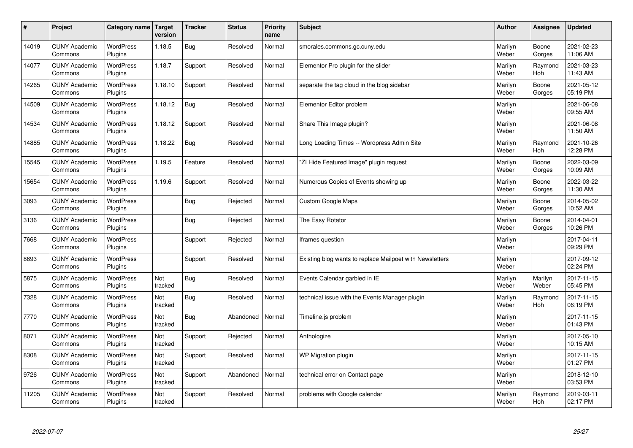| $\sharp$ | Project                         | <b>Category name</b>        | Target<br>version | <b>Tracker</b> | <b>Status</b> | <b>Priority</b><br>name | <b>Subject</b>                                           | <b>Author</b>    | Assignee         | <b>Updated</b>         |
|----------|---------------------------------|-----------------------------|-------------------|----------------|---------------|-------------------------|----------------------------------------------------------|------------------|------------------|------------------------|
| 14019    | <b>CUNY Academic</b><br>Commons | <b>WordPress</b><br>Plugins | 1.18.5            | Bug            | Resolved      | Normal                  | smorales.commons.gc.cuny.edu                             | Marilyn<br>Weber | Boone<br>Gorges  | 2021-02-23<br>11:06 AM |
| 14077    | <b>CUNY Academic</b><br>Commons | <b>WordPress</b><br>Plugins | 1.18.7            | Support        | Resolved      | Normal                  | Elementor Pro plugin for the slider                      | Marilyn<br>Weber | Raymond<br>Hoh   | 2021-03-23<br>11:43 AM |
| 14265    | <b>CUNY Academic</b><br>Commons | <b>WordPress</b><br>Plugins | 1.18.10           | Support        | Resolved      | Normal                  | separate the tag cloud in the blog sidebar               | Marilyn<br>Weber | Boone<br>Gorges  | 2021-05-12<br>05:19 PM |
| 14509    | <b>CUNY Academic</b><br>Commons | <b>WordPress</b><br>Plugins | 1.18.12           | Bug            | Resolved      | Normal                  | Elementor Editor problem                                 | Marilyn<br>Weber |                  | 2021-06-08<br>09:55 AM |
| 14534    | <b>CUNY Academic</b><br>Commons | <b>WordPress</b><br>Plugins | 1.18.12           | Support        | Resolved      | Normal                  | Share This Image plugin?                                 | Marilyn<br>Weber |                  | 2021-06-08<br>11:50 AM |
| 14885    | <b>CUNY Academic</b><br>Commons | WordPress<br>Plugins        | 1.18.22           | Bug            | Resolved      | Normal                  | Long Loading Times -- Wordpress Admin Site               | Marilyn<br>Weber | Raymond<br>Hoh   | 2021-10-26<br>12:28 PM |
| 15545    | <b>CUNY Academic</b><br>Commons | WordPress<br>Plugins        | 1.19.5            | Feature        | Resolved      | Normal                  | 'ZI Hide Featured Image" plugin request                  | Marilyn<br>Weber | Boone<br>Gorges  | 2022-03-09<br>10:09 AM |
| 15654    | <b>CUNY Academic</b><br>Commons | <b>WordPress</b><br>Plugins | 1.19.6            | Support        | Resolved      | Normal                  | Numerous Copies of Events showing up                     | Marilyn<br>Weber | Boone<br>Gorges  | 2022-03-22<br>11:30 AM |
| 3093     | <b>CUNY Academic</b><br>Commons | <b>WordPress</b><br>Plugins |                   | Bug            | Rejected      | Normal                  | <b>Custom Google Maps</b>                                | Marilyn<br>Weber | Boone<br>Gorges  | 2014-05-02<br>10:52 AM |
| 3136     | <b>CUNY Academic</b><br>Commons | WordPress<br>Plugins        |                   | <b>Bug</b>     | Rejected      | Normal                  | The Easy Rotator                                         | Marilyn<br>Weber | Boone<br>Gorges  | 2014-04-01<br>10:26 PM |
| 7668     | <b>CUNY Academic</b><br>Commons | WordPress<br>Plugins        |                   | Support        | Rejected      | Normal                  | Iframes question                                         | Marilyn<br>Weber |                  | 2017-04-11<br>09:29 PM |
| 8693     | <b>CUNY Academic</b><br>Commons | <b>WordPress</b><br>Plugins |                   | Support        | Resolved      | Normal                  | Existing blog wants to replace Mailpoet with Newsletters | Marilyn<br>Weber |                  | 2017-09-12<br>02:24 PM |
| 5875     | <b>CUNY Academic</b><br>Commons | <b>WordPress</b><br>Plugins | Not<br>tracked    | <b>Bug</b>     | Resolved      | Normal                  | Events Calendar garbled in IE                            | Marilyn<br>Weber | Marilyn<br>Weber | 2017-11-15<br>05:45 PM |
| 7328     | <b>CUNY Academic</b><br>Commons | <b>WordPress</b><br>Plugins | Not<br>tracked    | <b>Bug</b>     | Resolved      | Normal                  | technical issue with the Events Manager plugin           | Marilyn<br>Weber | Raymond<br>Hoh   | 2017-11-15<br>06:19 PM |
| 7770     | <b>CUNY Academic</b><br>Commons | <b>WordPress</b><br>Plugins | Not<br>tracked    | <b>Bug</b>     | Abandoned     | Normal                  | Timeline.js problem                                      | Marilyn<br>Weber |                  | 2017-11-15<br>01:43 PM |
| 8071     | <b>CUNY Academic</b><br>Commons | <b>WordPress</b><br>Plugins | Not<br>tracked    | Support        | Rejected      | Normal                  | Anthologize                                              | Marilyn<br>Weber |                  | 2017-05-10<br>10:15 AM |
| 8308     | <b>CUNY Academic</b><br>Commons | WordPress<br>Plugins        | Not<br>tracked    | Support        | Resolved      | Normal                  | WP Migration plugin                                      | Marilyn<br>Weber |                  | 2017-11-15<br>01:27 PM |
| 9726     | <b>CUNY Academic</b><br>Commons | WordPress<br>Plugins        | Not<br>tracked    | Support        | Abandoned     | Normal                  | technical error on Contact page                          | Marilyn<br>Weber |                  | 2018-12-10<br>03:53 PM |
| 11205    | <b>CUNY Academic</b><br>Commons | <b>WordPress</b><br>Plugins | Not<br>tracked    | Support        | Resolved      | Normal                  | problems with Google calendar                            | Marilyn<br>Weber | Raymond<br>Hoh   | 2019-03-11<br>02:17 PM |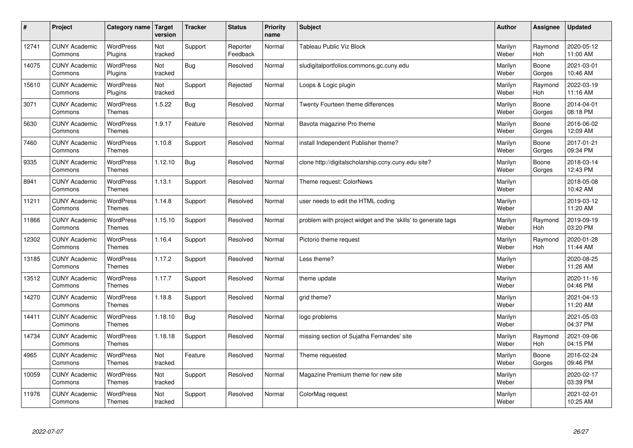| $\pmb{\#}$ | Project                         | Category name                     | Target<br>version | <b>Tracker</b> | <b>Status</b>        | <b>Priority</b><br>name | <b>Subject</b>                                                | <b>Author</b>    | Assignee        | <b>Updated</b>         |
|------------|---------------------------------|-----------------------------------|-------------------|----------------|----------------------|-------------------------|---------------------------------------------------------------|------------------|-----------------|------------------------|
| 12741      | <b>CUNY Academic</b><br>Commons | <b>WordPress</b><br>Plugins       | Not<br>tracked    | Support        | Reporter<br>Feedback | Normal                  | Tableau Public Viz Block                                      | Marilyn<br>Weber | Raymond<br>Hoh  | 2020-05-12<br>11:00 AM |
| 14075      | <b>CUNY Academic</b><br>Commons | WordPress<br>Plugins              | Not<br>tracked    | <b>Bug</b>     | Resolved             | Normal                  | sludigitalportfolios.commons.gc.cuny.edu                      | Marilyn<br>Weber | Boone<br>Gorges | 2021-03-01<br>10:46 AM |
| 15610      | <b>CUNY Academic</b><br>Commons | WordPress<br>Plugins              | Not<br>tracked    | Support        | Rejected             | Normal                  | Loops & Logic plugin                                          | Marilyn<br>Weber | Raymond<br>Hoh  | 2022-03-19<br>11:16 AM |
| 3071       | <b>CUNY Academic</b><br>Commons | <b>WordPress</b><br><b>Themes</b> | 1.5.22            | <b>Bug</b>     | Resolved             | Normal                  | Twenty Fourteen theme differences                             | Marilyn<br>Weber | Boone<br>Gorges | 2014-04-01<br>08:18 PM |
| 5630       | <b>CUNY Academic</b><br>Commons | WordPress<br><b>Themes</b>        | 1.9.17            | Feature        | Resolved             | Normal                  | Bavota magazine Pro theme                                     | Marilyn<br>Weber | Boone<br>Gorges | 2016-06-02<br>12:09 AM |
| 7460       | <b>CUNY Academic</b><br>Commons | WordPress<br>Themes               | 1.10.8            | Support        | Resolved             | Normal                  | install Independent Publisher theme?                          | Marilyn<br>Weber | Boone<br>Gorges | 2017-01-21<br>09:34 PM |
| 9335       | <b>CUNY Academic</b><br>Commons | <b>WordPress</b><br><b>Themes</b> | 1.12.10           | <b>Bug</b>     | Resolved             | Normal                  | clone http://digitalscholarship.ccny.cuny.edu site?           | Marilyn<br>Weber | Boone<br>Gorges | 2018-03-14<br>12:43 PM |
| 8941       | <b>CUNY Academic</b><br>Commons | <b>WordPress</b><br><b>Themes</b> | 1.13.1            | Support        | Resolved             | Normal                  | Theme request: ColorNews                                      | Marilyn<br>Weber |                 | 2018-05-08<br>10:42 AM |
| 11211      | <b>CUNY Academic</b><br>Commons | WordPress<br><b>Themes</b>        | 1.14.8            | Support        | Resolved             | Normal                  | user needs to edit the HTML coding                            | Marilyn<br>Weber |                 | 2019-03-12<br>11:20 AM |
| 11866      | <b>CUNY Academic</b><br>Commons | <b>WordPress</b><br><b>Themes</b> | 1.15.10           | Support        | Resolved             | Normal                  | problem with project widget and the 'skills' to generate tags | Marilyn<br>Weber | Raymond<br>Hoh  | 2019-09-19<br>03:20 PM |
| 12302      | <b>CUNY Academic</b><br>Commons | <b>WordPress</b><br><b>Themes</b> | 1.16.4            | Support        | Resolved             | Normal                  | Pictorio theme request                                        | Marilyn<br>Weber | Raymond<br>Hoh  | 2020-01-28<br>11:44 AM |
| 13185      | <b>CUNY Academic</b><br>Commons | <b>WordPress</b><br><b>Themes</b> | 1.17.2            | Support        | Resolved             | Normal                  | Less theme?                                                   | Marilyn<br>Weber |                 | 2020-08-25<br>11:26 AM |
| 13512      | <b>CUNY Academic</b><br>Commons | <b>WordPress</b><br>Themes        | 1.17.7            | Support        | Resolved             | Normal                  | theme update                                                  | Marilyn<br>Weber |                 | 2020-11-16<br>04:46 PM |
| 14270      | <b>CUNY Academic</b><br>Commons | <b>WordPress</b><br>Themes        | 1.18.8            | Support        | Resolved             | Normal                  | grid theme?                                                   | Marilyn<br>Weber |                 | 2021-04-13<br>11:20 AM |
| 14411      | <b>CUNY Academic</b><br>Commons | WordPress<br><b>Themes</b>        | 1.18.10           | <b>Bug</b>     | Resolved             | Normal                  | logo problems                                                 | Marilyn<br>Weber |                 | 2021-05-03<br>04:37 PM |
| 14734      | <b>CUNY Academic</b><br>Commons | <b>WordPress</b><br><b>Themes</b> | 1.18.18           | Support        | Resolved             | Normal                  | missing section of Sujatha Fernandes' site                    | Marilyn<br>Weber | Raymond<br>Hoh  | 2021-09-06<br>04:15 PM |
| 4965       | <b>CUNY Academic</b><br>Commons | <b>WordPress</b><br>Themes        | Not<br>tracked    | Feature        | Resolved             | Normal                  | Theme requested                                               | Marilyn<br>Weber | Boone<br>Gorges | 2016-02-24<br>09:46 PM |
| 10059      | <b>CUNY Academic</b><br>Commons | WordPress<br>Themes               | Not<br>tracked    | Support        | Resolved             | Normal                  | Magazine Premium theme for new site                           | Marilyn<br>Weber |                 | 2020-02-17<br>03:39 PM |
| 11976      | <b>CUNY Academic</b><br>Commons | <b>WordPress</b><br>Themes        | Not<br>tracked    | Support        | Resolved             | Normal                  | ColorMag request                                              | Marilyn<br>Weber |                 | 2021-02-01<br>10:25 AM |